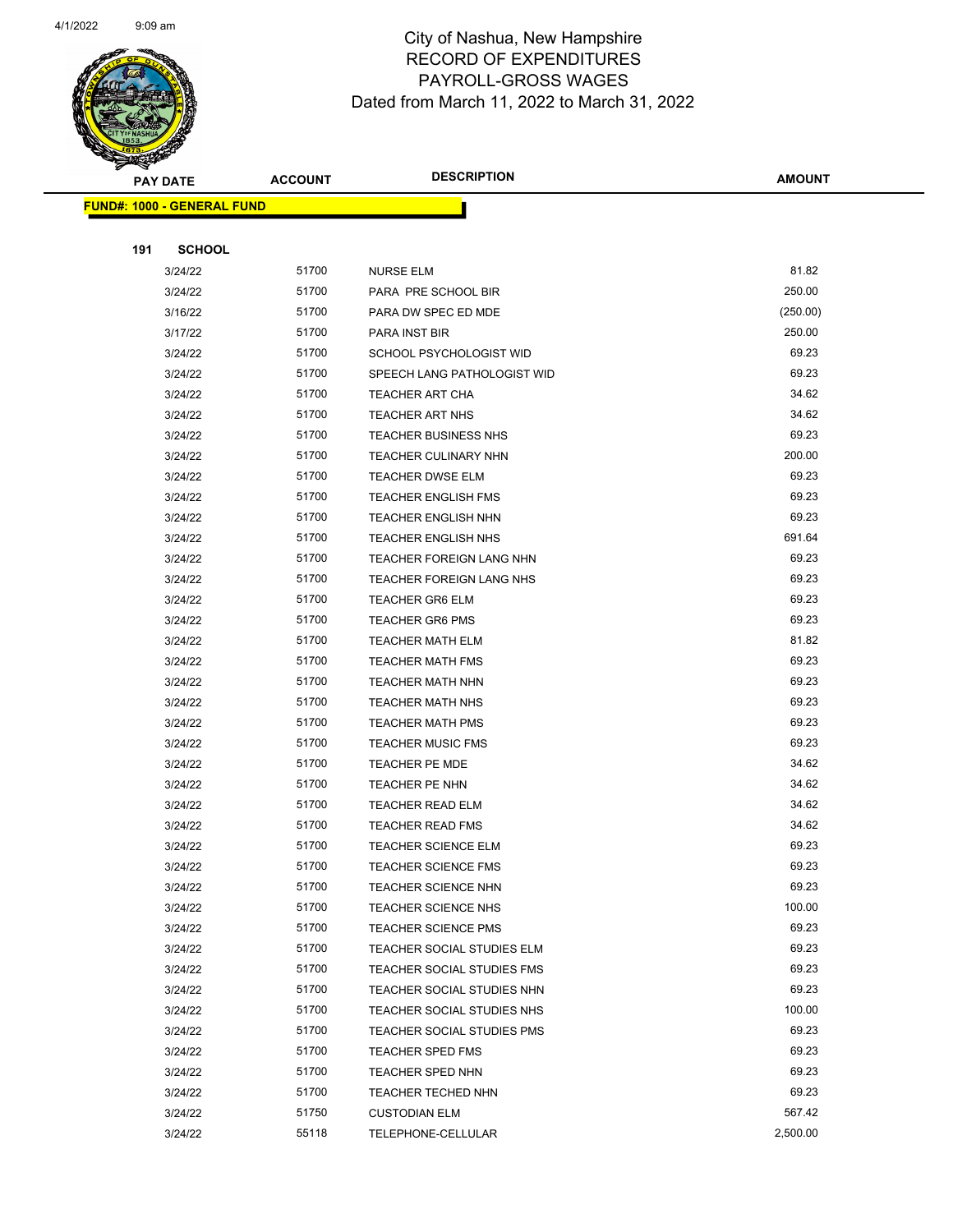

|     | <b>PAY DATE</b>                   | <b>ACCOUNT</b> | <b>DESCRIPTION</b>                         | <b>AMOUNT</b>  |  |
|-----|-----------------------------------|----------------|--------------------------------------------|----------------|--|
|     | <b>FUND#: 1000 - GENERAL FUND</b> |                |                                            |                |  |
|     |                                   |                |                                            |                |  |
| 191 | <b>SCHOOL</b>                     |                |                                            |                |  |
|     | 3/24/22                           | 51700          | <b>NURSE ELM</b>                           | 81.82          |  |
|     | 3/24/22                           | 51700          | PARA PRE SCHOOL BIR                        | 250.00         |  |
|     | 3/16/22                           | 51700          | PARA DW SPEC ED MDE                        | (250.00)       |  |
|     | 3/17/22                           | 51700          | PARA INST BIR                              | 250.00         |  |
|     | 3/24/22                           | 51700          | SCHOOL PSYCHOLOGIST WID                    | 69.23          |  |
|     | 3/24/22                           | 51700          | SPEECH LANG PATHOLOGIST WID                | 69.23          |  |
|     | 3/24/22                           | 51700          | <b>TEACHER ART CHA</b>                     | 34.62          |  |
|     | 3/24/22                           | 51700          | <b>TEACHER ART NHS</b>                     | 34.62          |  |
|     | 3/24/22                           | 51700          | <b>TEACHER BUSINESS NHS</b>                | 69.23          |  |
|     | 3/24/22                           | 51700          | TEACHER CULINARY NHN                       | 200.00         |  |
|     | 3/24/22                           | 51700          | <b>TEACHER DWSE ELM</b>                    | 69.23          |  |
|     | 3/24/22                           | 51700          | <b>TEACHER ENGLISH FMS</b>                 | 69.23          |  |
|     | 3/24/22                           | 51700          | <b>TEACHER ENGLISH NHN</b>                 | 69.23          |  |
|     | 3/24/22                           | 51700          | <b>TEACHER ENGLISH NHS</b>                 | 691.64         |  |
|     | 3/24/22                           | 51700          | <b>TEACHER FOREIGN LANG NHN</b>            | 69.23          |  |
|     | 3/24/22                           | 51700          | TEACHER FOREIGN LANG NHS                   | 69.23          |  |
|     | 3/24/22                           | 51700          | <b>TEACHER GR6 ELM</b>                     | 69.23          |  |
|     | 3/24/22                           | 51700          | <b>TEACHER GR6 PMS</b>                     | 69.23          |  |
|     | 3/24/22                           | 51700          | <b>TEACHER MATH ELM</b>                    | 81.82          |  |
|     | 3/24/22                           | 51700          | <b>TEACHER MATH FMS</b>                    | 69.23          |  |
|     | 3/24/22                           | 51700          | <b>TEACHER MATH NHN</b>                    | 69.23          |  |
|     | 3/24/22                           | 51700          | <b>TEACHER MATH NHS</b>                    | 69.23          |  |
|     | 3/24/22                           | 51700          | <b>TEACHER MATH PMS</b>                    | 69.23          |  |
|     | 3/24/22                           | 51700          | <b>TEACHER MUSIC FMS</b>                   | 69.23          |  |
|     | 3/24/22                           | 51700          | TEACHER PE MDE                             | 34.62          |  |
|     | 3/24/22                           | 51700          | TEACHER PE NHN                             | 34.62          |  |
|     | 3/24/22                           | 51700          | <b>TEACHER READ ELM</b>                    | 34.62          |  |
|     | 3/24/22                           | 51700          | <b>TEACHER READ FMS</b>                    | 34.62          |  |
|     | 3/24/22                           | 51700          | <b>TEACHER SCIENCE ELM</b>                 | 69.23          |  |
|     | 3/24/22                           | 51700          | TEACHER SCIENCE FMS                        | 69.23<br>69.23 |  |
|     | 3/24/22                           | 51700<br>51700 | TEACHER SCIENCE NHN                        | 100.00         |  |
|     | 3/24/22<br>3/24/22                | 51700          | TEACHER SCIENCE NHS<br>TEACHER SCIENCE PMS | 69.23          |  |
|     | 3/24/22                           | 51700          | TEACHER SOCIAL STUDIES ELM                 | 69.23          |  |
|     | 3/24/22                           | 51700          | TEACHER SOCIAL STUDIES FMS                 | 69.23          |  |
|     | 3/24/22                           | 51700          | TEACHER SOCIAL STUDIES NHN                 | 69.23          |  |
|     | 3/24/22                           | 51700          | TEACHER SOCIAL STUDIES NHS                 | 100.00         |  |
|     | 3/24/22                           | 51700          | TEACHER SOCIAL STUDIES PMS                 | 69.23          |  |
|     | 3/24/22                           | 51700          | <b>TEACHER SPED FMS</b>                    | 69.23          |  |
|     | 3/24/22                           | 51700          | TEACHER SPED NHN                           | 69.23          |  |
|     | 3/24/22                           | 51700          | <b>TEACHER TECHED NHN</b>                  | 69.23          |  |
|     | 3/24/22                           | 51750          | <b>CUSTODIAN ELM</b>                       | 567.42         |  |
|     | 3/24/22                           | 55118          | TELEPHONE-CELLULAR                         | 2,500.00       |  |
|     |                                   |                |                                            |                |  |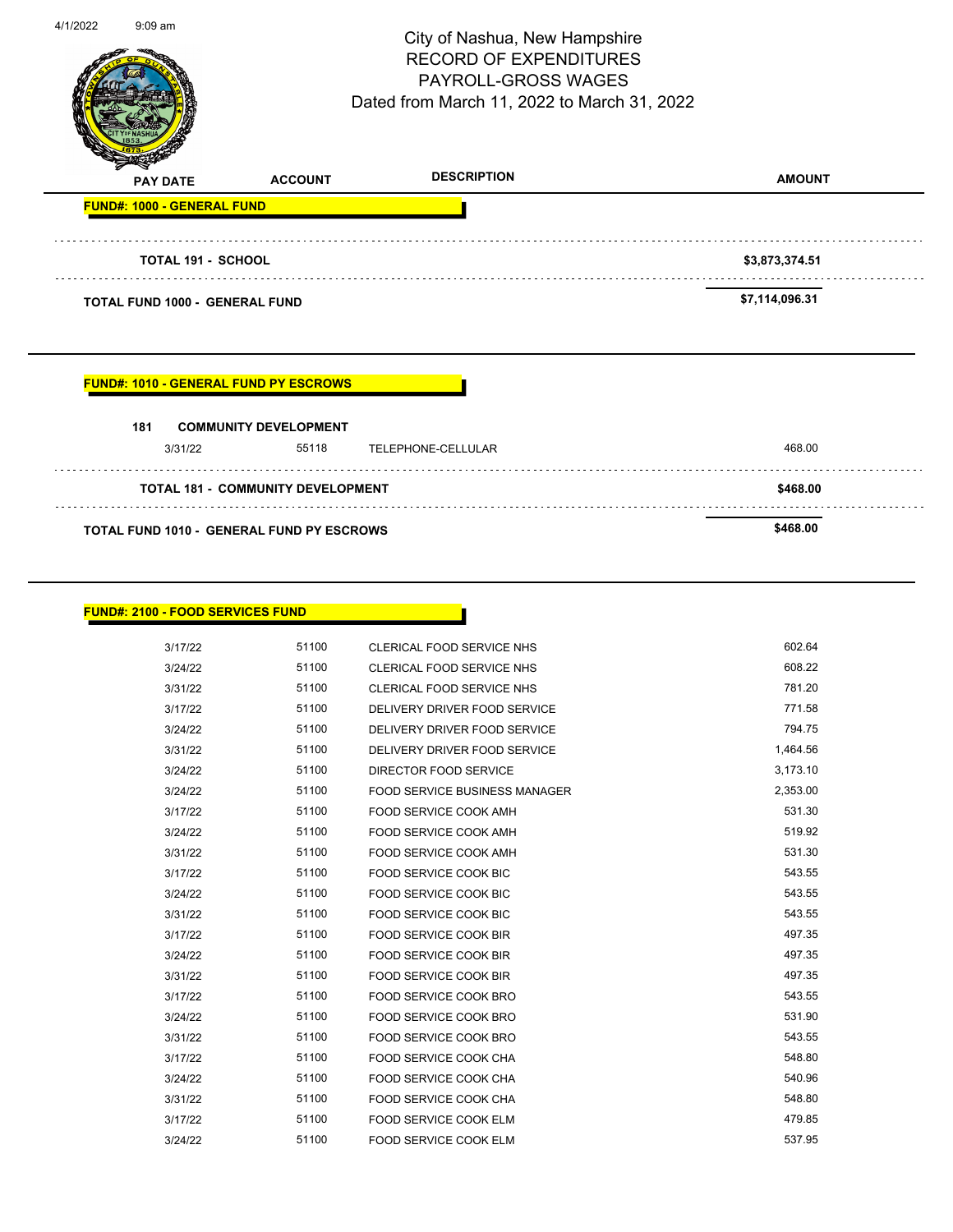|                                   |                                              |                                                                    | \$468.00        |  |  |  |
|-----------------------------------|----------------------------------------------|--------------------------------------------------------------------|-----------------|--|--|--|
|                                   |                                              | <b>TOTAL 181 - COMMUNITY DEVELOPMENT</b>                           |                 |  |  |  |
|                                   | 55118<br>3/31/22                             | TELEPHONE-CELLULAR                                                 | 468.00          |  |  |  |
| 181                               | <b>COMMUNITY DEVELOPMENT</b>                 |                                                                    |                 |  |  |  |
|                                   | <b>FUND#: 1010 - GENERAL FUND PY ESCROWS</b> |                                                                    |                 |  |  |  |
|                                   |                                              |                                                                    |                 |  |  |  |
|                                   | <b>TOTAL FUND 1000 - GENERAL FUND</b>        |                                                                    |                 |  |  |  |
|                                   |                                              | \$7,114,096.31                                                     |                 |  |  |  |
|                                   | <b>TOTAL 191 - SCHOOL</b>                    |                                                                    | \$3,873,374.51  |  |  |  |
| <b>FUND#: 1000 - GENERAL FUND</b> |                                              |                                                                    |                 |  |  |  |
| <b>PAY DATE</b>                   | <b>ACCOUNT</b>                               | <b>DESCRIPTION</b>                                                 | <b>AMOUNT</b>   |  |  |  |
|                                   |                                              | PAYROLL-GROSS WAGES<br>Dated from March 11, 2022 to March 31, 2022 |                 |  |  |  |
|                                   |                                              | <b>RECORD OF EXPENDITURES</b>                                      | Page 119 of 141 |  |  |  |

| <b>FUND#: 2100 - FOOD SERVICES FUND</b> |
|-----------------------------------------|
|-----------------------------------------|

| 0 - FOOD SERVICES FUND |       |                                      |          |
|------------------------|-------|--------------------------------------|----------|
| 3/17/22                | 51100 | <b>CLERICAL FOOD SERVICE NHS</b>     | 602.64   |
| 3/24/22                | 51100 | CLERICAL FOOD SERVICE NHS            | 608.22   |
| 3/31/22                | 51100 | <b>CLERICAL FOOD SERVICE NHS</b>     | 781.20   |
| 3/17/22                | 51100 | DELIVERY DRIVER FOOD SERVICE         | 771.58   |
| 3/24/22                | 51100 | DELIVERY DRIVER FOOD SERVICE         | 794.75   |
| 3/31/22                | 51100 | DELIVERY DRIVER FOOD SERVICE         | 1,464.56 |
| 3/24/22                | 51100 | <b>DIRECTOR FOOD SERVICE</b>         | 3,173.10 |
| 3/24/22                | 51100 | <b>FOOD SERVICE BUSINESS MANAGER</b> | 2,353.00 |
| 3/17/22                | 51100 | FOOD SERVICE COOK AMH                | 531.30   |
| 3/24/22                | 51100 | FOOD SERVICE COOK AMH                | 519.92   |
| 3/31/22                | 51100 | FOOD SERVICE COOK AMH                | 531.30   |
| 3/17/22                | 51100 | <b>FOOD SERVICE COOK BIC</b>         | 543.55   |
| 3/24/22                | 51100 | <b>FOOD SERVICE COOK BIC</b>         | 543.55   |
| 3/31/22                | 51100 | <b>FOOD SERVICE COOK BIC</b>         | 543.55   |
| 3/17/22                | 51100 | <b>FOOD SERVICE COOK BIR</b>         | 497.35   |
| 3/24/22                | 51100 | <b>FOOD SERVICE COOK BIR</b>         | 497.35   |
| 3/31/22                | 51100 | <b>FOOD SERVICE COOK BIR</b>         | 497.35   |
| 3/17/22                | 51100 | FOOD SERVICE COOK BRO                | 543.55   |
| 3/24/22                | 51100 | FOOD SERVICE COOK BRO                | 531.90   |
| 3/31/22                | 51100 | FOOD SERVICE COOK BRO                | 543.55   |
| 3/17/22                | 51100 | <b>FOOD SERVICE COOK CHA</b>         | 548.80   |
| 3/24/22                | 51100 | <b>FOOD SERVICE COOK CHA</b>         | 540.96   |
| 3/31/22                | 51100 | FOOD SERVICE COOK CHA                | 548.80   |
| 3/17/22                | 51100 | <b>FOOD SERVICE COOK ELM</b>         | 479.85   |
| 3/24/22                | 51100 | FOOD SERVICE COOK ELM                | 537.95   |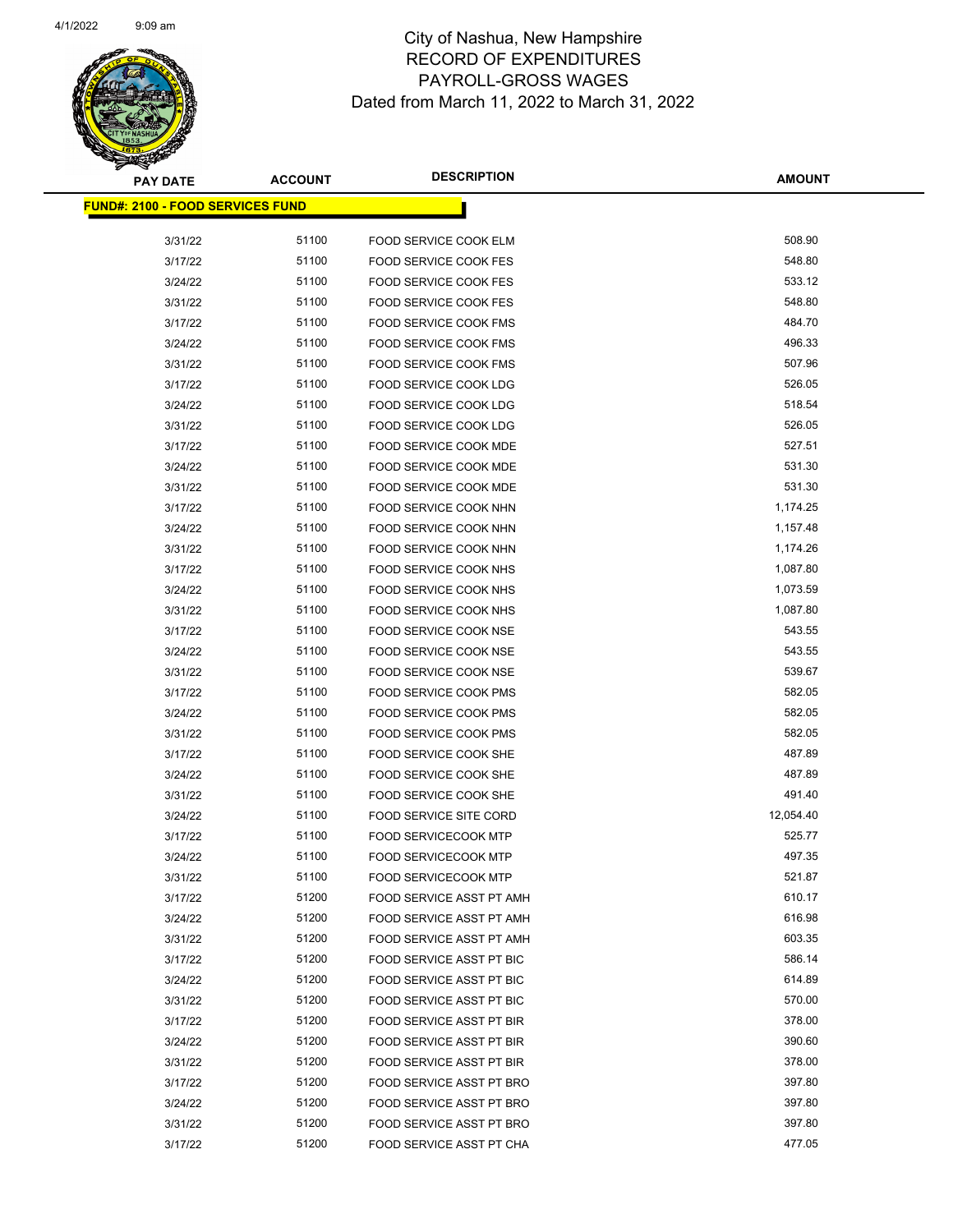

| <b>PAY DATE</b>                          | <b>ACCOUNT</b> | <b>DESCRIPTION</b>              | <b>AMOUNT</b> |
|------------------------------------------|----------------|---------------------------------|---------------|
| <u> FUND#: 2100 - FOOD SERVICES FUND</u> |                |                                 |               |
|                                          |                |                                 |               |
| 3/31/22                                  | 51100          | FOOD SERVICE COOK ELM           | 508.90        |
| 3/17/22                                  | 51100          | <b>FOOD SERVICE COOK FES</b>    | 548.80        |
| 3/24/22                                  | 51100          | <b>FOOD SERVICE COOK FES</b>    | 533.12        |
| 3/31/22                                  | 51100          | <b>FOOD SERVICE COOK FES</b>    | 548.80        |
| 3/17/22                                  | 51100          | FOOD SERVICE COOK FMS           | 484.70        |
| 3/24/22                                  | 51100          | <b>FOOD SERVICE COOK FMS</b>    | 496.33        |
| 3/31/22                                  | 51100          | FOOD SERVICE COOK FMS           | 507.96        |
| 3/17/22                                  | 51100          | FOOD SERVICE COOK LDG           | 526.05        |
| 3/24/22                                  | 51100          | FOOD SERVICE COOK LDG           | 518.54        |
| 3/31/22                                  | 51100          | FOOD SERVICE COOK LDG           | 526.05        |
| 3/17/22                                  | 51100          | <b>FOOD SERVICE COOK MDE</b>    | 527.51        |
| 3/24/22                                  | 51100          | <b>FOOD SERVICE COOK MDE</b>    | 531.30        |
| 3/31/22                                  | 51100          | <b>FOOD SERVICE COOK MDE</b>    | 531.30        |
| 3/17/22                                  | 51100          | FOOD SERVICE COOK NHN           | 1,174.25      |
| 3/24/22                                  | 51100          | <b>FOOD SERVICE COOK NHN</b>    | 1,157.48      |
| 3/31/22                                  | 51100          | FOOD SERVICE COOK NHN           | 1,174.26      |
| 3/17/22                                  | 51100          | <b>FOOD SERVICE COOK NHS</b>    | 1,087.80      |
| 3/24/22                                  | 51100          | FOOD SERVICE COOK NHS           | 1,073.59      |
| 3/31/22                                  | 51100          | FOOD SERVICE COOK NHS           | 1,087.80      |
| 3/17/22                                  | 51100          | FOOD SERVICE COOK NSE           | 543.55        |
| 3/24/22                                  | 51100          | FOOD SERVICE COOK NSE           | 543.55        |
| 3/31/22                                  | 51100          | FOOD SERVICE COOK NSE           | 539.67        |
| 3/17/22                                  | 51100          | <b>FOOD SERVICE COOK PMS</b>    | 582.05        |
| 3/24/22                                  | 51100          | <b>FOOD SERVICE COOK PMS</b>    | 582.05        |
| 3/31/22                                  | 51100          | <b>FOOD SERVICE COOK PMS</b>    | 582.05        |
| 3/17/22                                  | 51100          | FOOD SERVICE COOK SHE           | 487.89        |
| 3/24/22                                  | 51100          | FOOD SERVICE COOK SHE           | 487.89        |
| 3/31/22                                  | 51100          | FOOD SERVICE COOK SHE           | 491.40        |
| 3/24/22                                  | 51100          | <b>FOOD SERVICE SITE CORD</b>   | 12,054.40     |
| 3/17/22                                  | 51100          | <b>FOOD SERVICECOOK MTP</b>     | 525.77        |
| 3/24/22                                  | 51100          | <b>FOOD SERVICECOOK MTP</b>     | 497.35        |
| 3/31/22                                  | 51100          | <b>FOOD SERVICECOOK MTP</b>     | 521.87        |
| 3/17/22                                  | 51200          | FOOD SERVICE ASST PT AMH        | 610.17        |
| 3/24/22                                  | 51200          | FOOD SERVICE ASST PT AMH        | 616.98        |
| 3/31/22                                  | 51200          | FOOD SERVICE ASST PT AMH        | 603.35        |
| 3/17/22                                  | 51200          | FOOD SERVICE ASST PT BIC        | 586.14        |
| 3/24/22                                  | 51200          | FOOD SERVICE ASST PT BIC        | 614.89        |
| 3/31/22                                  | 51200          | <b>FOOD SERVICE ASST PT BIC</b> | 570.00        |
| 3/17/22                                  | 51200          | FOOD SERVICE ASST PT BIR        | 378.00        |
| 3/24/22                                  | 51200          | FOOD SERVICE ASST PT BIR        | 390.60        |
| 3/31/22                                  | 51200          | FOOD SERVICE ASST PT BIR        | 378.00        |
| 3/17/22                                  | 51200          | FOOD SERVICE ASST PT BRO        | 397.80        |
| 3/24/22                                  | 51200          | FOOD SERVICE ASST PT BRO        | 397.80        |
| 3/31/22                                  | 51200          | FOOD SERVICE ASST PT BRO        | 397.80        |
| 3/17/22                                  | 51200          | FOOD SERVICE ASST PT CHA        | 477.05        |
|                                          |                |                                 |               |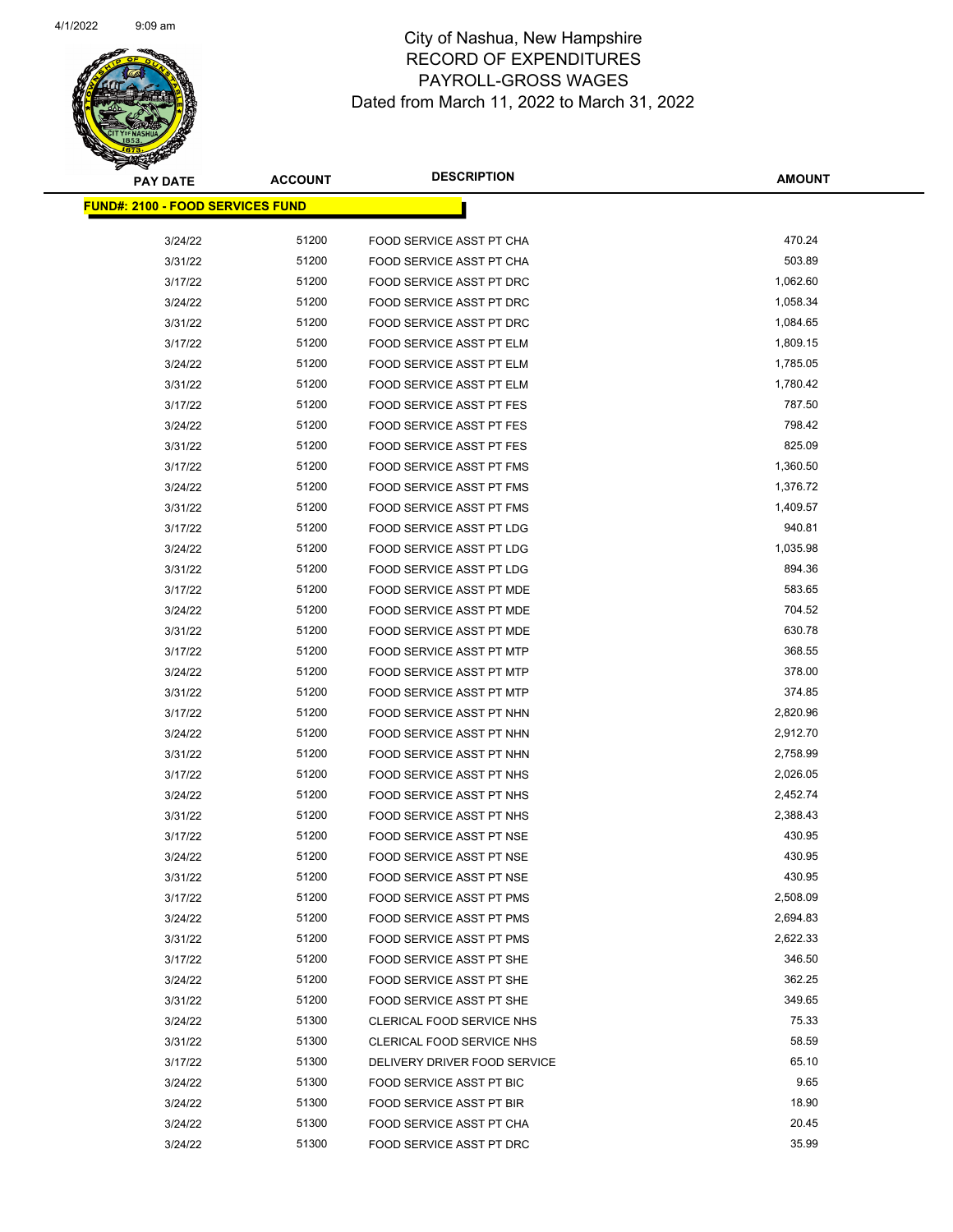

| <b>PAY DATE</b>                          | <b>ACCOUNT</b> | <b>DESCRIPTION</b>              | <b>AMOUNT</b> |
|------------------------------------------|----------------|---------------------------------|---------------|
| <u> FUND#: 2100 - FOOD SERVICES FUND</u> |                |                                 |               |
|                                          |                |                                 |               |
| 3/24/22                                  | 51200          | FOOD SERVICE ASST PT CHA        | 470.24        |
| 3/31/22                                  | 51200          | FOOD SERVICE ASST PT CHA        | 503.89        |
| 3/17/22                                  | 51200          | FOOD SERVICE ASST PT DRC        | 1,062.60      |
| 3/24/22                                  | 51200          | FOOD SERVICE ASST PT DRC        | 1,058.34      |
| 3/31/22                                  | 51200          | FOOD SERVICE ASST PT DRC        | 1,084.65      |
| 3/17/22                                  | 51200          | FOOD SERVICE ASST PT ELM        | 1,809.15      |
| 3/24/22                                  | 51200          | FOOD SERVICE ASST PT ELM        | 1,785.05      |
| 3/31/22                                  | 51200          | FOOD SERVICE ASST PT ELM        | 1,780.42      |
| 3/17/22                                  | 51200          | FOOD SERVICE ASST PT FES        | 787.50        |
| 3/24/22                                  | 51200          | <b>FOOD SERVICE ASST PT FES</b> | 798.42        |
| 3/31/22                                  | 51200          | <b>FOOD SERVICE ASST PT FES</b> | 825.09        |
| 3/17/22                                  | 51200          | FOOD SERVICE ASST PT FMS        | 1,360.50      |
| 3/24/22                                  | 51200          | <b>FOOD SERVICE ASST PT FMS</b> | 1,376.72      |
| 3/31/22                                  | 51200          | FOOD SERVICE ASST PT FMS        | 1,409.57      |
| 3/17/22                                  | 51200          | FOOD SERVICE ASST PT LDG        | 940.81        |
| 3/24/22                                  | 51200          | FOOD SERVICE ASST PT LDG        | 1,035.98      |
| 3/31/22                                  | 51200          | FOOD SERVICE ASST PT LDG        | 894.36        |
| 3/17/22                                  | 51200          | FOOD SERVICE ASST PT MDE        | 583.65        |
| 3/24/22                                  | 51200          | FOOD SERVICE ASST PT MDE        | 704.52        |
| 3/31/22                                  | 51200          | FOOD SERVICE ASST PT MDE        | 630.78        |
| 3/17/22                                  | 51200          | FOOD SERVICE ASST PT MTP        | 368.55        |
| 3/24/22                                  | 51200          | FOOD SERVICE ASST PT MTP        | 378.00        |
| 3/31/22                                  | 51200          | FOOD SERVICE ASST PT MTP        | 374.85        |
| 3/17/22                                  | 51200          | FOOD SERVICE ASST PT NHN        | 2,820.96      |
| 3/24/22                                  | 51200          | FOOD SERVICE ASST PT NHN        | 2,912.70      |
| 3/31/22                                  | 51200          | FOOD SERVICE ASST PT NHN        | 2,758.99      |
| 3/17/22                                  | 51200          | FOOD SERVICE ASST PT NHS        | 2,026.05      |
| 3/24/22                                  | 51200          | FOOD SERVICE ASST PT NHS        | 2,452.74      |
| 3/31/22                                  | 51200          | FOOD SERVICE ASST PT NHS        | 2,388.43      |
| 3/17/22                                  | 51200          | FOOD SERVICE ASST PT NSE        | 430.95        |
| 3/24/22                                  | 51200          | FOOD SERVICE ASST PT NSE        | 430.95        |
| 3/31/22                                  | 51200          | FOOD SERVICE ASST PT NSE        | 430.95        |
| 3/17/22                                  | 51200          | <b>FOOD SERVICE ASST PT PMS</b> | 2,508.09      |
| 3/24/22                                  | 51200          | FOOD SERVICE ASST PT PMS        | 2,694.83      |
| 3/31/22                                  | 51200          | FOOD SERVICE ASST PT PMS        | 2,622.33      |
| 3/17/22                                  | 51200          | FOOD SERVICE ASST PT SHE        | 346.50        |
| 3/24/22                                  | 51200          | FOOD SERVICE ASST PT SHE        | 362.25        |
| 3/31/22                                  | 51200          | FOOD SERVICE ASST PT SHE        | 349.65        |
| 3/24/22                                  | 51300          | CLERICAL FOOD SERVICE NHS       | 75.33         |
| 3/31/22                                  | 51300          | CLERICAL FOOD SERVICE NHS       | 58.59         |
| 3/17/22                                  | 51300          | DELIVERY DRIVER FOOD SERVICE    | 65.10         |
| 3/24/22                                  | 51300          | FOOD SERVICE ASST PT BIC        | 9.65          |
| 3/24/22                                  | 51300          | FOOD SERVICE ASST PT BIR        | 18.90         |
| 3/24/22                                  | 51300          | FOOD SERVICE ASST PT CHA        | 20.45         |
| 3/24/22                                  | 51300          | FOOD SERVICE ASST PT DRC        | 35.99         |
|                                          |                |                                 |               |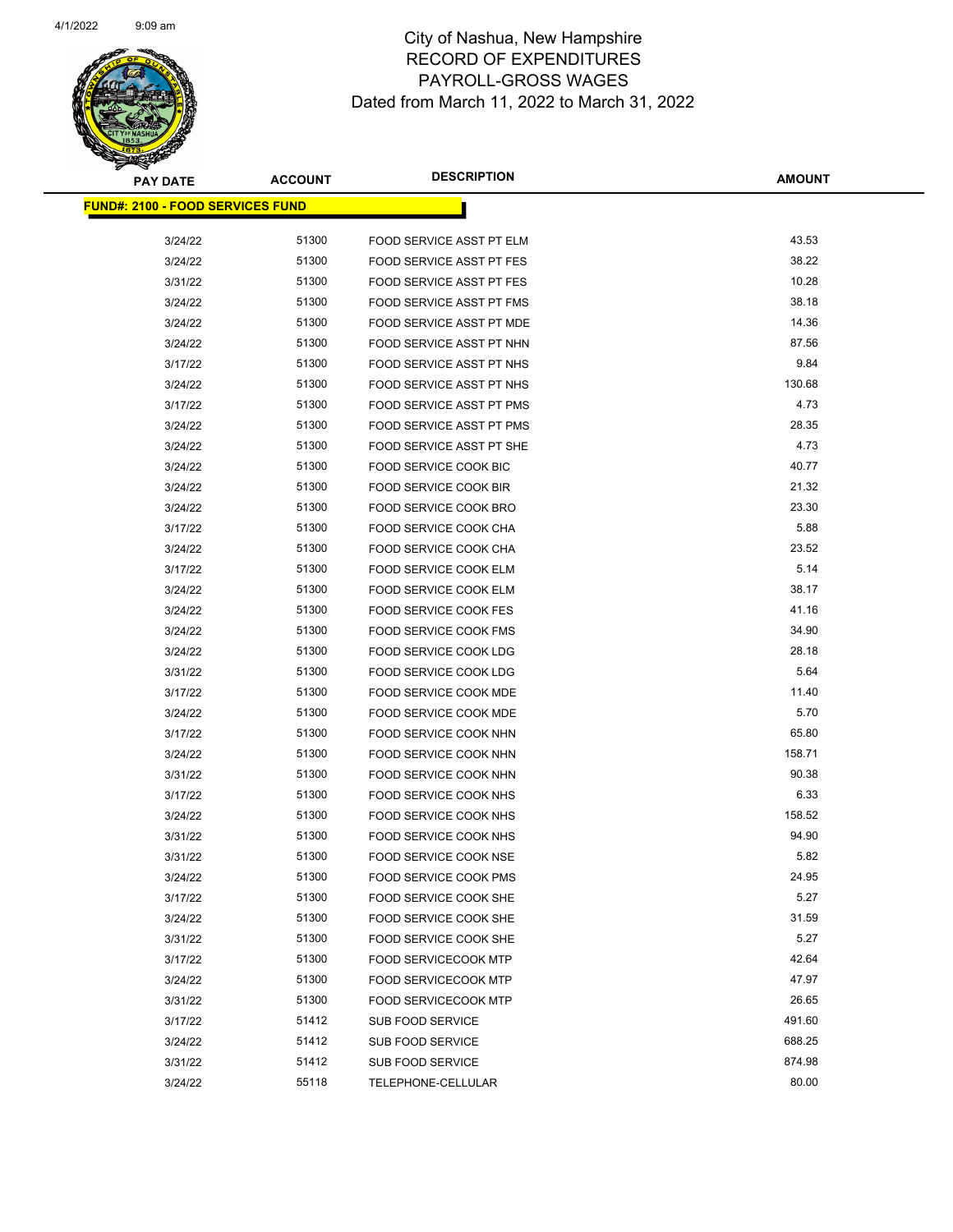

| <b>PAY DATE</b>                          | <b>ACCOUNT</b> | <b>DESCRIPTION</b>              | <b>AMOUNT</b> |
|------------------------------------------|----------------|---------------------------------|---------------|
| <u> FUND#: 2100 - FOOD SERVICES FUND</u> |                |                                 |               |
|                                          |                |                                 |               |
| 3/24/22                                  | 51300          | FOOD SERVICE ASST PT ELM        | 43.53         |
| 3/24/22                                  | 51300          | <b>FOOD SERVICE ASST PT FES</b> | 38.22         |
| 3/31/22                                  | 51300          | <b>FOOD SERVICE ASST PT FES</b> | 10.28         |
| 3/24/22                                  | 51300          | FOOD SERVICE ASST PT FMS        | 38.18         |
| 3/24/22                                  | 51300          | FOOD SERVICE ASST PT MDE        | 14.36         |
| 3/24/22                                  | 51300          | FOOD SERVICE ASST PT NHN        | 87.56         |
| 3/17/22                                  | 51300          | FOOD SERVICE ASST PT NHS        | 9.84          |
| 3/24/22                                  | 51300          | FOOD SERVICE ASST PT NHS        | 130.68        |
| 3/17/22                                  | 51300          | FOOD SERVICE ASST PT PMS        | 4.73          |
| 3/24/22                                  | 51300          | FOOD SERVICE ASST PT PMS        | 28.35         |
| 3/24/22                                  | 51300          | FOOD SERVICE ASST PT SHE        | 4.73          |
| 3/24/22                                  | 51300          | <b>FOOD SERVICE COOK BIC</b>    | 40.77         |
| 3/24/22                                  | 51300          | <b>FOOD SERVICE COOK BIR</b>    | 21.32         |
| 3/24/22                                  | 51300          | FOOD SERVICE COOK BRO           | 23.30         |
| 3/17/22                                  | 51300          | FOOD SERVICE COOK CHA           | 5.88          |
| 3/24/22                                  | 51300          | FOOD SERVICE COOK CHA           | 23.52         |
| 3/17/22                                  | 51300          | <b>FOOD SERVICE COOK ELM</b>    | 5.14          |
| 3/24/22                                  | 51300          | FOOD SERVICE COOK ELM           | 38.17         |
| 3/24/22                                  | 51300          | FOOD SERVICE COOK FES           | 41.16         |
| 3/24/22                                  | 51300          | <b>FOOD SERVICE COOK FMS</b>    | 34.90         |
| 3/24/22                                  | 51300          | FOOD SERVICE COOK LDG           | 28.18         |
| 3/31/22                                  | 51300          | FOOD SERVICE COOK LDG           | 5.64          |
| 3/17/22                                  | 51300          | FOOD SERVICE COOK MDE           | 11.40         |
| 3/24/22                                  | 51300          | FOOD SERVICE COOK MDE           | 5.70          |
| 3/17/22                                  | 51300          | FOOD SERVICE COOK NHN           | 65.80         |
| 3/24/22                                  | 51300          | FOOD SERVICE COOK NHN           | 158.71        |
| 3/31/22                                  | 51300          | FOOD SERVICE COOK NHN           | 90.38         |
| 3/17/22                                  | 51300          | <b>FOOD SERVICE COOK NHS</b>    | 6.33          |
| 3/24/22                                  | 51300          | FOOD SERVICE COOK NHS           | 158.52        |
| 3/31/22                                  | 51300          | <b>FOOD SERVICE COOK NHS</b>    | 94.90         |
| 3/31/22                                  | 51300          | FOOD SERVICE COOK NSE           | 5.82          |
| 3/24/22                                  | 51300          | FOOD SERVICE COOK PMS           | 24.95         |
| 3/17/22                                  | 51300          | FOOD SERVICE COOK SHE           | 5.27          |
| 3/24/22                                  | 51300          | FOOD SERVICE COOK SHE           | 31.59         |
| 3/31/22                                  | 51300          | FOOD SERVICE COOK SHE           | 5.27          |
| 3/17/22                                  | 51300          | <b>FOOD SERVICECOOK MTP</b>     | 42.64         |
| 3/24/22                                  | 51300          | <b>FOOD SERVICECOOK MTP</b>     | 47.97         |
| 3/31/22                                  | 51300          | <b>FOOD SERVICECOOK MTP</b>     | 26.65         |
| 3/17/22                                  | 51412          | SUB FOOD SERVICE                | 491.60        |
| 3/24/22                                  | 51412          | <b>SUB FOOD SERVICE</b>         | 688.25        |
| 3/31/22                                  | 51412          | SUB FOOD SERVICE                | 874.98        |
| 3/24/22                                  | 55118          | TELEPHONE-CELLULAR              | 80.00         |
|                                          |                |                                 |               |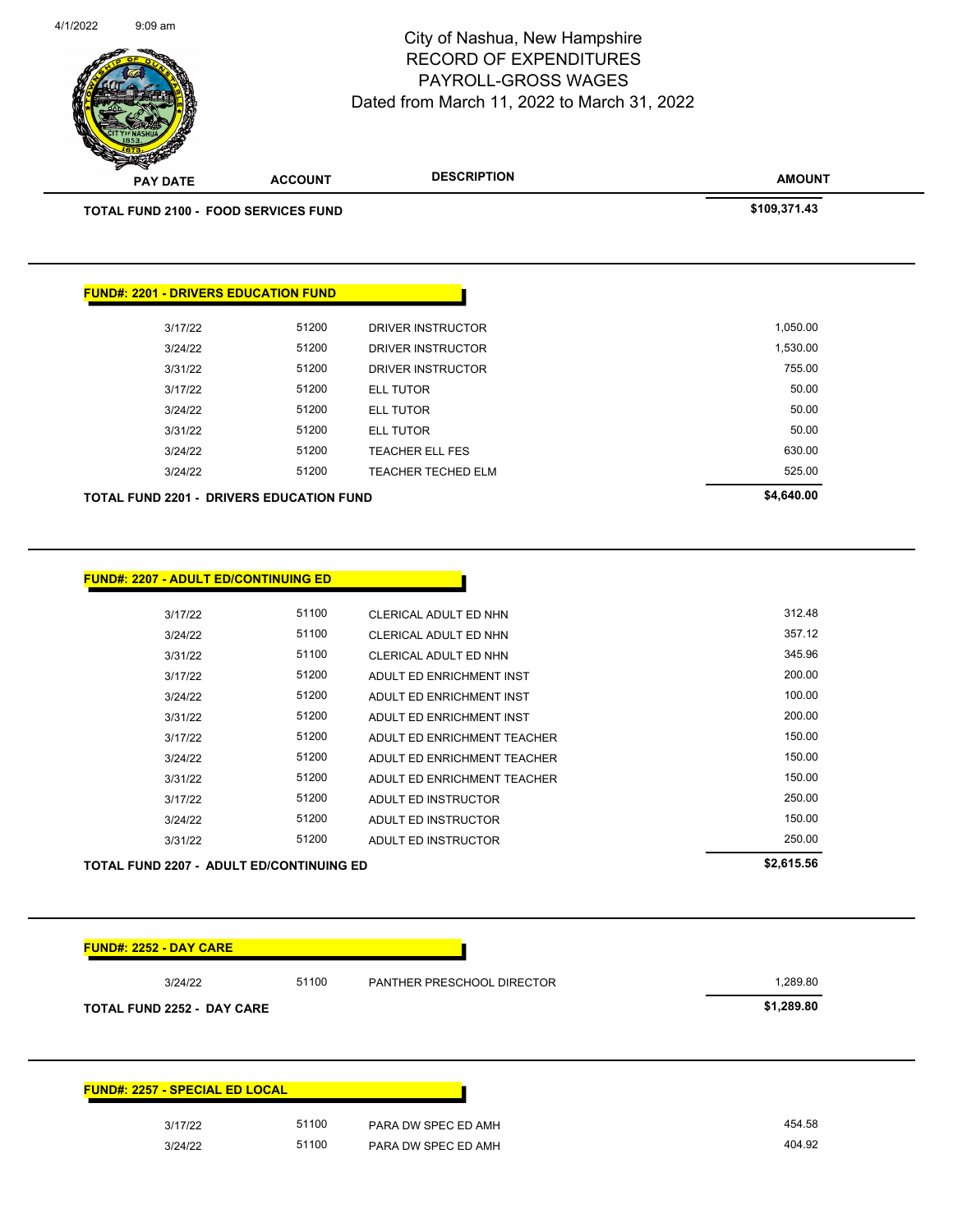

| <b>FUND#: 2257 - SPECIAL ED LOCAL</b> |       |                     |
|---------------------------------------|-------|---------------------|
| 3/17/22                               | 51100 | PARA DW SPEC ED AMH |
| 3/24/22                               | 51100 | PARA DW SPEC ED AMH |

Page 123 of 141

RECORD OF EXPENDITURES

City of Nashua, New Hampshire

4/1/2022 9:09 am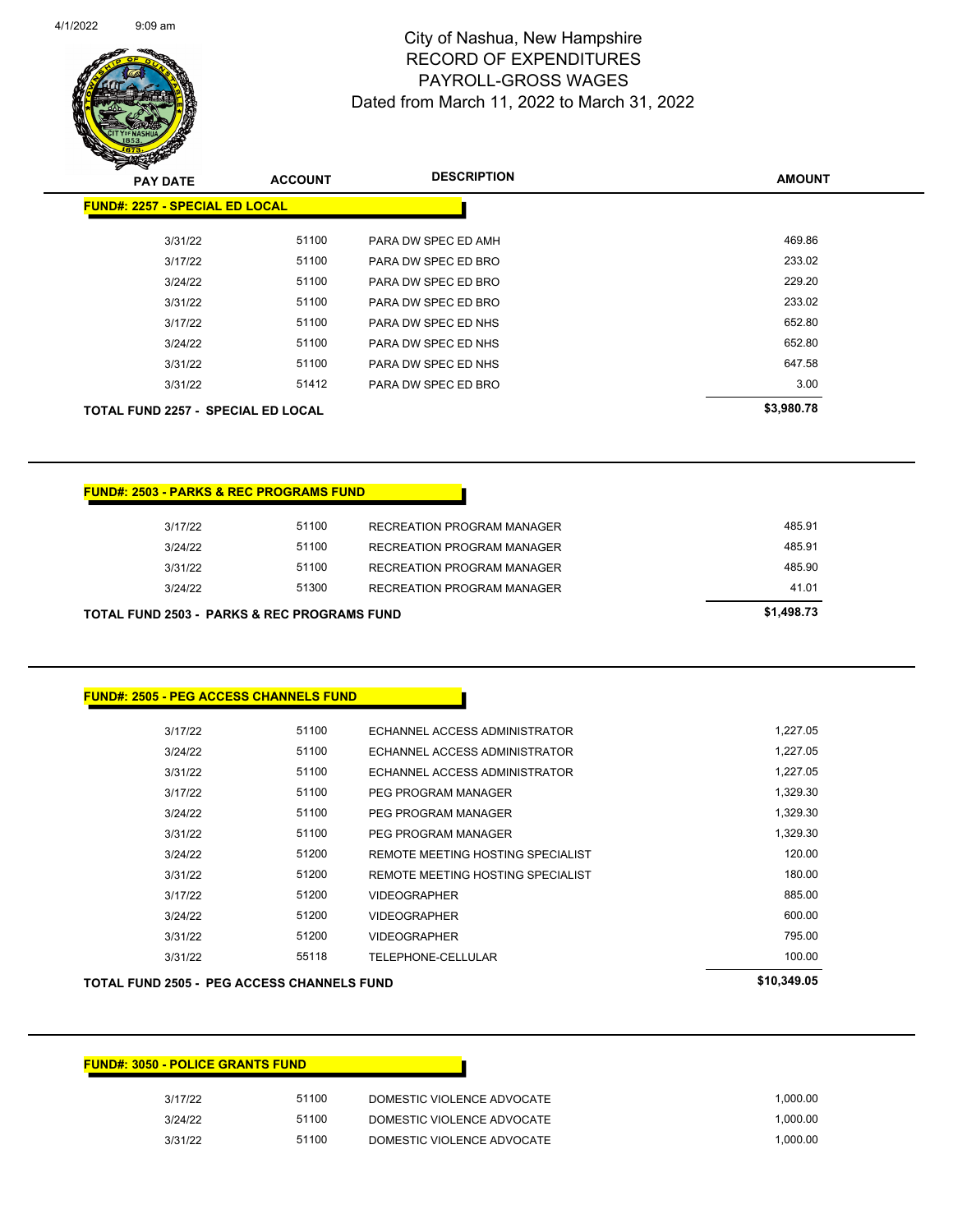

Page 124 of 141

| $\boldsymbol{v}$<br>∼<br><b>PAY DATE</b>  | <b>ACCOUNT</b> | <b>DESCRIPTION</b>  | <b>AMOUNT</b> |
|-------------------------------------------|----------------|---------------------|---------------|
| <b>FUND#: 2257 - SPECIAL ED LOCAL</b>     |                |                     |               |
| 3/31/22                                   | 51100          | PARA DW SPEC ED AMH | 469.86        |
| 3/17/22                                   | 51100          | PARA DW SPEC ED BRO | 233.02        |
| 3/24/22                                   | 51100          | PARA DW SPEC ED BRO | 229.20        |
| 3/31/22                                   | 51100          | PARA DW SPEC ED BRO | 233.02        |
| 3/17/22                                   | 51100          | PARA DW SPEC ED NHS | 652.80        |
| 3/24/22                                   | 51100          | PARA DW SPEC ED NHS | 652.80        |
| 3/31/22                                   | 51100          | PARA DW SPEC ED NHS | 647.58        |
| 3/31/22                                   | 51412          | PARA DW SPEC ED BRO | 3.00          |
| <b>TOTAL FUND 2257 - SPECIAL ED LOCAL</b> |                |                     | \$3,980.78    |

| <b>FUND#: 2503 - PARKS &amp; REC PROGRAMS FUND</b>     |            |                            |        |
|--------------------------------------------------------|------------|----------------------------|--------|
| 3/17/22                                                | 51100      | RECREATION PROGRAM MANAGER | 485.91 |
| 3/24/22                                                | 51100      | RECREATION PROGRAM MANAGER | 485.91 |
| 3/31/22                                                | 51100      | RECREATION PROGRAM MANAGER | 485.90 |
| 3/24/22                                                | 51300      | RECREATION PROGRAM MANAGER | 41.01  |
| <b>TOTAL FUND 2503 - PARKS &amp; REC PROGRAMS FUND</b> | \$1,498.73 |                            |        |

| <b>FUND#: 2505 - PEG ACCESS CHANNELS FUND</b> |       |                                   |          |
|-----------------------------------------------|-------|-----------------------------------|----------|
| 3/17/22                                       | 51100 | ECHANNEL ACCESS ADMINISTRATOR     | 1,227.05 |
| 3/24/22                                       | 51100 | ECHANNEL ACCESS ADMINISTRATOR     | 1,227.05 |
| 3/31/22                                       | 51100 | ECHANNEL ACCESS ADMINISTRATOR     | 1,227.05 |
| 3/17/22                                       | 51100 | PEG PROGRAM MANAGER               | 1,329.30 |
| 3/24/22                                       | 51100 | PEG PROGRAM MANAGER               | 1,329.30 |
| 3/31/22                                       | 51100 | PEG PROGRAM MANAGER               | 1,329.30 |
| 3/24/22                                       | 51200 | REMOTE MEETING HOSTING SPECIALIST | 120.00   |
| 3/31/22                                       | 51200 | REMOTE MEETING HOSTING SPECIALIST | 180.00   |
| 3/17/22                                       | 51200 | <b>VIDEOGRAPHER</b>               | 885.00   |
| 3/24/22                                       | 51200 | <b>VIDEOGRAPHER</b>               | 600.00   |
| 3/31/22                                       | 51200 | <b>VIDEOGRAPHER</b>               | 795.00   |
| 3/31/22                                       | 55118 | TELEPHONE-CELLULAR                | 100.00   |

#### **TOTAL FUND 2505 - PEG ACCESS CHANNELS FUND \$10,349.05**

| <b>FUND#: 3050 - POLICE GRANTS FUND</b> |       |                            |          |
|-----------------------------------------|-------|----------------------------|----------|
| 3/17/22                                 | 51100 | DOMESTIC VIOLENCE ADVOCATE | 1.000.00 |
| 3/24/22                                 | 51100 | DOMESTIC VIOLENCE ADVOCATE | 1.000.00 |
| 3/31/22                                 | 51100 | DOMESTIC VIOLENCE ADVOCATE | 1.000.00 |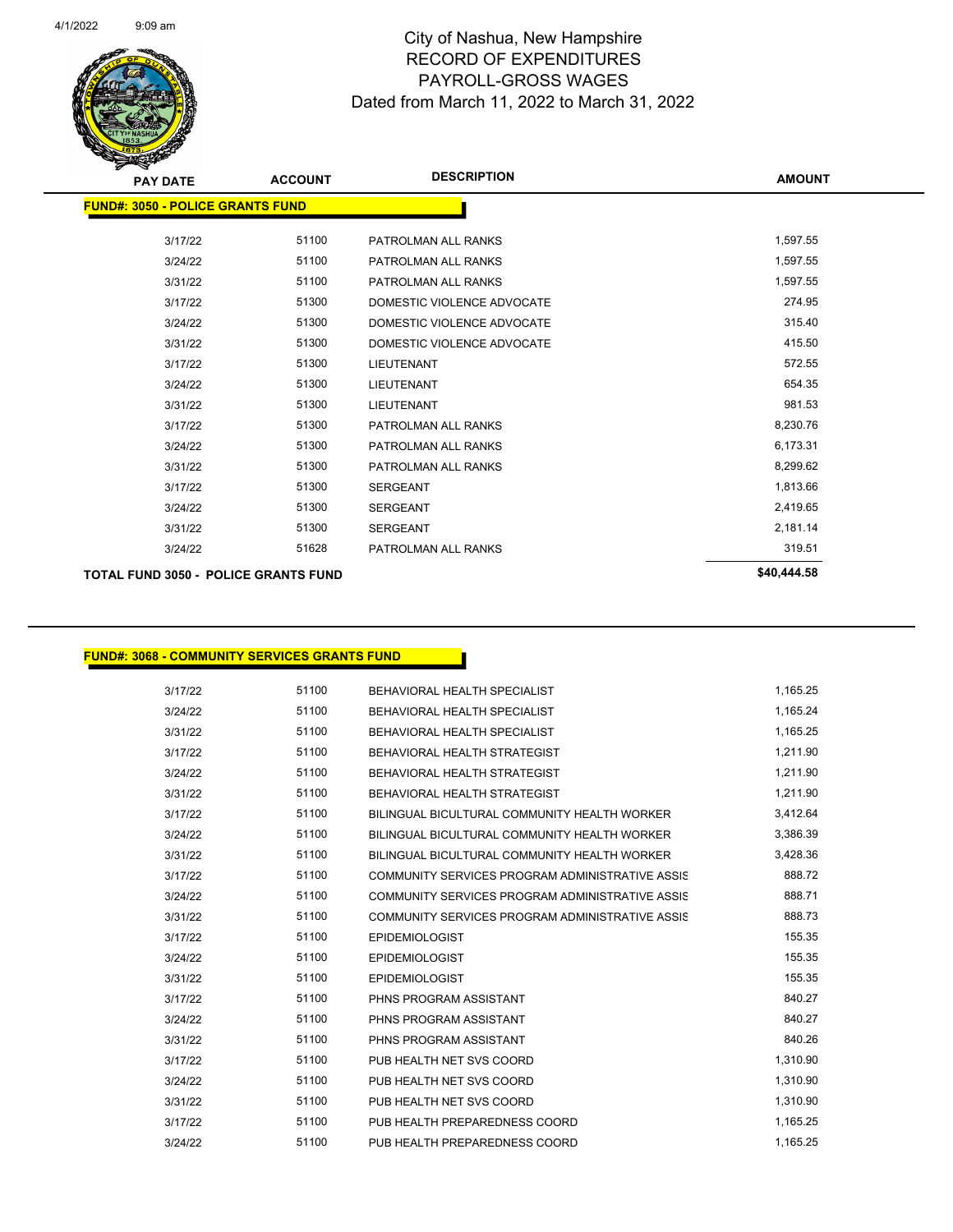

Page 125 of 141

| <b>PAY DATE</b>                             | <b>ACCOUNT</b> | <b>DESCRIPTION</b>         | <b>AMOUNT</b> |
|---------------------------------------------|----------------|----------------------------|---------------|
| <b>FUND#: 3050 - POLICE GRANTS FUND</b>     |                |                            |               |
|                                             |                |                            |               |
| 3/17/22                                     | 51100          | PATROLMAN ALL RANKS        | 1,597.55      |
| 3/24/22                                     | 51100          | PATROLMAN ALL RANKS        | 1,597.55      |
| 3/31/22                                     | 51100          | PATROLMAN ALL RANKS        | 1,597.55      |
| 3/17/22                                     | 51300          | DOMESTIC VIOLENCE ADVOCATE | 274.95        |
| 3/24/22                                     | 51300          | DOMESTIC VIOLENCE ADVOCATE | 315.40        |
| 3/31/22                                     | 51300          | DOMESTIC VIOLENCE ADVOCATE | 415.50        |
| 3/17/22                                     | 51300          | <b>LIEUTENANT</b>          | 572.55        |
| 3/24/22                                     | 51300          | <b>LIEUTENANT</b>          | 654.35        |
| 3/31/22                                     | 51300          | <b>LIEUTENANT</b>          | 981.53        |
| 3/17/22                                     | 51300          | PATROLMAN ALL RANKS        | 8,230.76      |
| 3/24/22                                     | 51300          | PATROLMAN ALL RANKS        | 6,173.31      |
| 3/31/22                                     | 51300          | PATROLMAN ALL RANKS        | 8,299.62      |
| 3/17/22                                     | 51300          | <b>SERGEANT</b>            | 1,813.66      |
| 3/24/22                                     | 51300          | <b>SERGEANT</b>            | 2,419.65      |
| 3/31/22                                     | 51300          | <b>SERGEANT</b>            | 2,181.14      |
| 3/24/22                                     | 51628          | PATROLMAN ALL RANKS        | 319.51        |
| <b>TOTAL FUND 3050 - POLICE GRANTS FUND</b> |                |                            | \$40,444.58   |

**FUND#: 3068 - COMMUNITY SERVICES GRANTS FUND**

| 3/17/22 | 51100 | BEHAVIORAL HEALTH SPECIALIST                    | 1,165.25 |
|---------|-------|-------------------------------------------------|----------|
| 3/24/22 | 51100 | BEHAVIORAL HEALTH SPECIALIST                    | 1,165.24 |
| 3/31/22 | 51100 | BEHAVIORAL HEALTH SPECIALIST                    | 1,165.25 |
| 3/17/22 | 51100 | BEHAVIORAL HEALTH STRATEGIST                    | 1,211.90 |
| 3/24/22 | 51100 | BEHAVIORAL HEALTH STRATEGIST                    | 1,211.90 |
| 3/31/22 | 51100 | BEHAVIORAL HEALTH STRATEGIST                    | 1,211.90 |
| 3/17/22 | 51100 | BILINGUAL BICULTURAL COMMUNITY HEALTH WORKER    | 3,412.64 |
| 3/24/22 | 51100 | BILINGUAL BICULTURAL COMMUNITY HEALTH WORKER    | 3,386.39 |
| 3/31/22 | 51100 | BILINGUAL BICULTURAL COMMUNITY HEALTH WORKER    | 3,428.36 |
| 3/17/22 | 51100 | COMMUNITY SERVICES PROGRAM ADMINISTRATIVE ASSIS | 888.72   |
| 3/24/22 | 51100 | COMMUNITY SERVICES PROGRAM ADMINISTRATIVE ASSIS | 888.71   |
| 3/31/22 | 51100 | COMMUNITY SERVICES PROGRAM ADMINISTRATIVE ASSIS | 888.73   |
| 3/17/22 | 51100 | <b>EPIDEMIOLOGIST</b>                           | 155.35   |
| 3/24/22 | 51100 | <b>EPIDEMIOLOGIST</b>                           | 155.35   |
| 3/31/22 | 51100 | <b>EPIDEMIOLOGIST</b>                           | 155.35   |
| 3/17/22 | 51100 | PHNS PROGRAM ASSISTANT                          | 840.27   |
| 3/24/22 | 51100 | PHNS PROGRAM ASSISTANT                          | 840.27   |
| 3/31/22 | 51100 | PHNS PROGRAM ASSISTANT                          | 840.26   |
| 3/17/22 | 51100 | PUB HEALTH NET SVS COORD                        | 1,310.90 |
| 3/24/22 | 51100 | PUB HEALTH NET SVS COORD                        | 1,310.90 |
| 3/31/22 | 51100 | PUB HEALTH NET SVS COORD                        | 1,310.90 |
| 3/17/22 | 51100 | PUB HEALTH PREPAREDNESS COORD                   | 1,165.25 |
| 3/24/22 | 51100 | PUB HEALTH PREPAREDNESS COORD                   | 1,165.25 |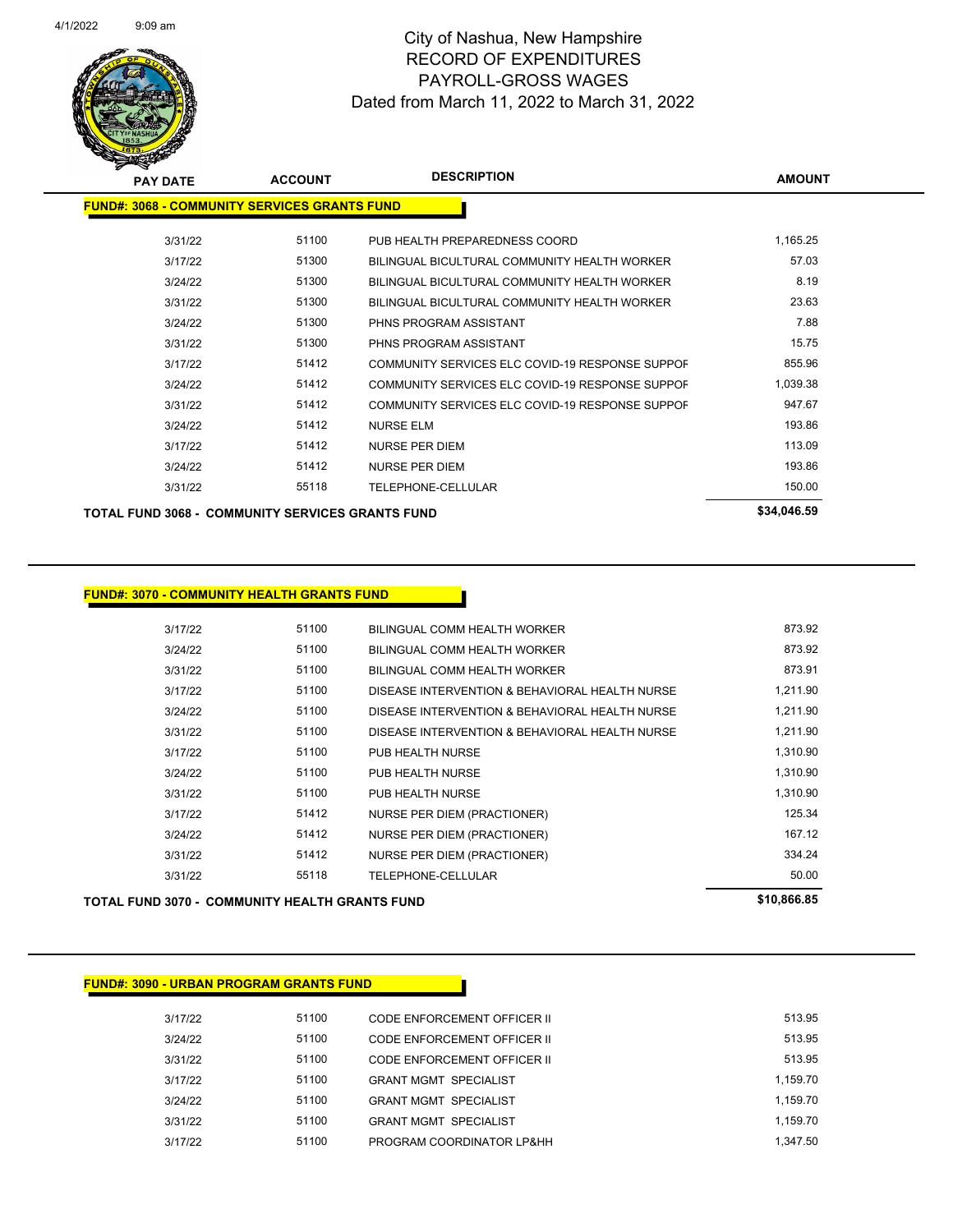

| <b>PAY DATE</b>                                         | <b>ACCOUNT</b> | <b>DESCRIPTION</b>                              | <b>AMOUNT</b> |
|---------------------------------------------------------|----------------|-------------------------------------------------|---------------|
| <b>FUND#: 3068 - COMMUNITY SERVICES GRANTS FUND</b>     |                |                                                 |               |
| 3/31/22                                                 | 51100          | PUB HEALTH PREPAREDNESS COORD                   | 1,165.25      |
| 3/17/22                                                 | 51300          | BILINGUAL BICULTURAL COMMUNITY HEALTH WORKER    | 57.03         |
| 3/24/22                                                 | 51300          | BILINGUAL BICULTURAL COMMUNITY HEALTH WORKER    | 8.19          |
| 3/31/22                                                 | 51300          | BILINGUAL BICULTURAL COMMUNITY HEALTH WORKER    | 23.63         |
| 3/24/22                                                 | 51300          | PHNS PROGRAM ASSISTANT                          | 7.88          |
| 3/31/22                                                 | 51300          | PHNS PROGRAM ASSISTANT                          | 15.75         |
| 3/17/22                                                 | 51412          | COMMUNITY SERVICES ELC COVID-19 RESPONSE SUPPOF | 855.96        |
| 3/24/22                                                 | 51412          | COMMUNITY SERVICES ELC COVID-19 RESPONSE SUPPOF | 1,039.38      |
| 3/31/22                                                 | 51412          | COMMUNITY SERVICES ELC COVID-19 RESPONSE SUPPOF | 947.67        |
| 3/24/22                                                 | 51412          | <b>NURSE ELM</b>                                | 193.86        |
| 3/17/22                                                 | 51412          | <b>NURSE PER DIEM</b>                           | 113.09        |
| 3/24/22                                                 | 51412          | <b>NURSE PER DIEM</b>                           | 193.86        |
| 3/31/22                                                 | 55118          | TELEPHONE-CELLULAR                              | 150.00        |
| <b>TOTAL FUND 3068 - COMMUNITY SERVICES GRANTS FUND</b> |                |                                                 | \$34,046.59   |

#### **FUND#: 3070 - COMMUNITY HEALTH GRANTS FUND**

3/17/22 51100 BILINGUAL COMM HEALTH WORKER 873.92 3/24/22 51100 BILINGUAL COMM HEALTH WORKER 873.92 3/31/22 51100 BILINGUAL COMM HEALTH WORKER 873.91 3/17/22 51100 DISEASE INTERVENTION & BEHAVIORAL HEALTH NURSE 1,211.90 3/24/22 51100 DISEASE INTERVENTION & BEHAVIORAL HEALTH NURSE 1,211.90 3/31/22 **51100** DISEASE INTERVENTION & BEHAVIORAL HEALTH NURSE 1,211.90 3/17/22 51100 PUB HEALTH NURSE 1,310.90 3/24/22 51100 PUB HEALTH NURSE 1,310.90 3/31/22 51100 PUB HEALTH NURSE 1,310.90 3/17/22 51412 NURSE PER DIEM (PRACTIONER) 125.34 3/24/22 51412 NURSE PER DIEM (PRACTIONER) 167.12 3/31/22 51412 NURSE PER DIEM (PRACTIONER) 334.24 3/31/22 55118 TELEPHONE-CELLULAR 50.00 **TOTAL FUND 3070 - COMMUNITY HEALTH GRANTS FUND \$10,866.85** 

# **FUND#: 3090 - URBAN PROGRAM GRANTS FUND** 3/17/22 51100 CODE ENFORCEMENT OFFICER II 513.95 3/24/22 51100 CODE ENFORCEMENT OFFICER II 513.95 3/31/22 51100 CODE ENFORCEMENT OFFICER II 513.95 3/17/22 51100 GRANT MGMT SPECIALIST 1,159.70 3/24/22 51100 GRANT MGMT SPECIALIST 1,159.70 3/31/22 51100 GRANT MGMT SPECIALIST 1,159.70

3/17/22 51100 PROGRAM COORDINATOR LP&HH 1,347.50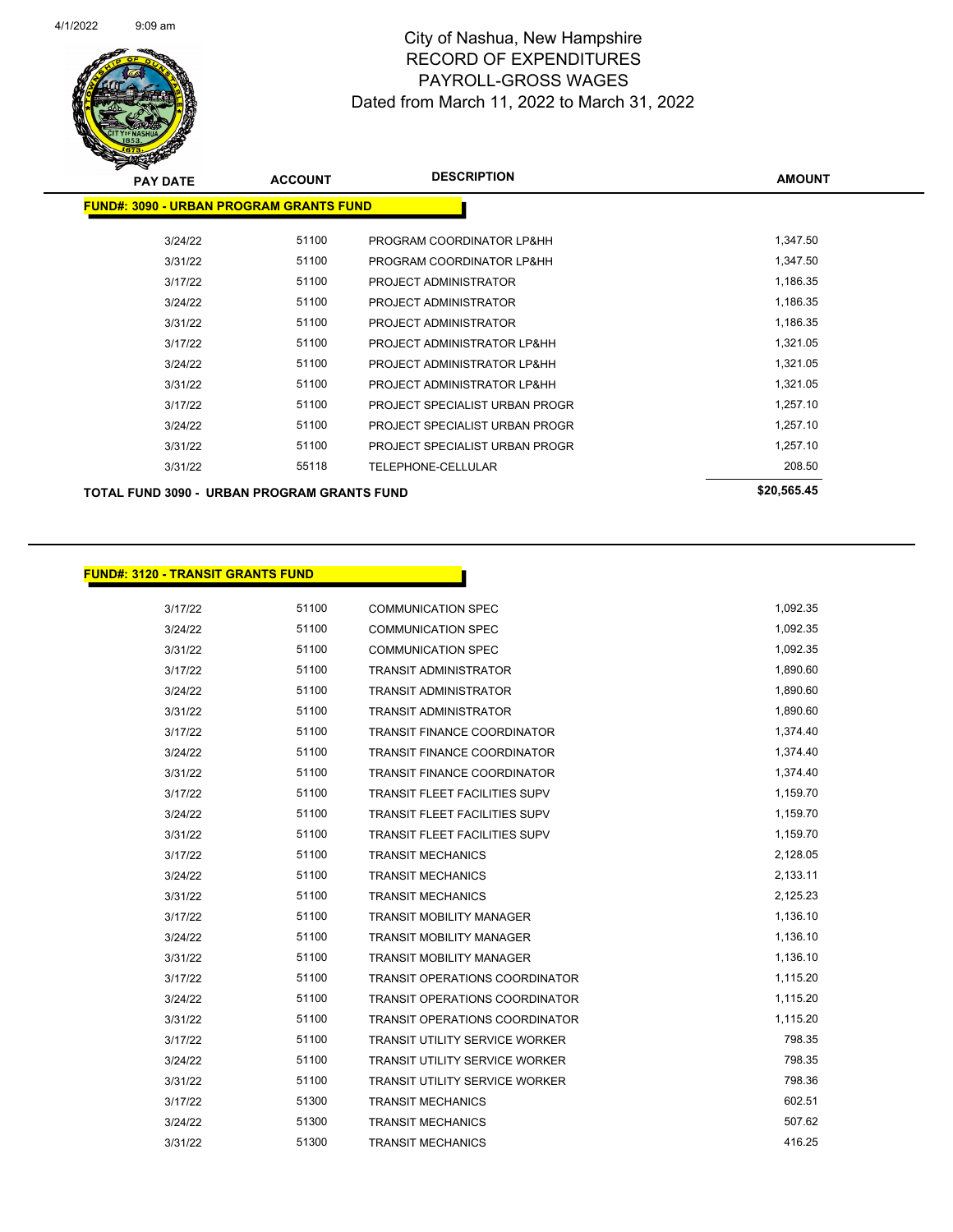

| <b>PAY DATE</b>                                    | <b>ACCOUNT</b> | <b>DESCRIPTION</b>             | <b>AMOUNT</b> |
|----------------------------------------------------|----------------|--------------------------------|---------------|
| <b>FUND#: 3090 - URBAN PROGRAM GRANTS FUND</b>     |                |                                |               |
| 3/24/22                                            | 51100          | PROGRAM COORDINATOR LP&HH      | 1,347.50      |
| 3/31/22                                            | 51100          | PROGRAM COORDINATOR LP&HH      | 1,347.50      |
| 3/17/22                                            | 51100          | PROJECT ADMINISTRATOR          | 1,186.35      |
| 3/24/22                                            | 51100          | PROJECT ADMINISTRATOR          | 1,186.35      |
| 3/31/22                                            | 51100          | PROJECT ADMINISTRATOR          | 1,186.35      |
| 3/17/22                                            | 51100          | PROJECT ADMINISTRATOR LP&HH    | 1,321.05      |
| 3/24/22                                            | 51100          | PROJECT ADMINISTRATOR LP&HH    | 1,321.05      |
| 3/31/22                                            | 51100          | PROJECT ADMINISTRATOR LP&HH    | 1,321.05      |
| 3/17/22                                            | 51100          | PROJECT SPECIALIST URBAN PROGR | 1,257.10      |
| 3/24/22                                            | 51100          | PROJECT SPECIALIST URBAN PROGR | 1,257.10      |
| 3/31/22                                            | 51100          | PROJECT SPECIALIST URBAN PROGR | 1,257.10      |
| 3/31/22                                            | 55118          | TELEPHONE-CELLULAR             | 208.50        |
| <b>TOTAL FUND 3090 - URBAN PROGRAM GRANTS FUND</b> |                |                                | \$20,565.45   |

#### **FUND#: 3120 - TRANSIT GRANTS FUND**

| 3/17/22 | 51100 | <b>COMMUNICATION SPEC</b>             | 1,092.35 |
|---------|-------|---------------------------------------|----------|
| 3/24/22 | 51100 | <b>COMMUNICATION SPEC</b>             | 1,092.35 |
| 3/31/22 | 51100 | <b>COMMUNICATION SPEC</b>             | 1,092.35 |
| 3/17/22 | 51100 | <b>TRANSIT ADMINISTRATOR</b>          | 1,890.60 |
| 3/24/22 | 51100 | <b>TRANSIT ADMINISTRATOR</b>          | 1,890.60 |
| 3/31/22 | 51100 | <b>TRANSIT ADMINISTRATOR</b>          | 1,890.60 |
| 3/17/22 | 51100 | <b>TRANSIT FINANCE COORDINATOR</b>    | 1,374.40 |
| 3/24/22 | 51100 | <b>TRANSIT FINANCE COORDINATOR</b>    | 1,374.40 |
| 3/31/22 | 51100 | <b>TRANSIT FINANCE COORDINATOR</b>    | 1,374.40 |
| 3/17/22 | 51100 | <b>TRANSIT FLEET FACILITIES SUPV</b>  | 1,159.70 |
| 3/24/22 | 51100 | <b>TRANSIT FLEET FACILITIES SUPV</b>  | 1,159.70 |
| 3/31/22 | 51100 | <b>TRANSIT FLEET FACILITIES SUPV</b>  | 1,159.70 |
| 3/17/22 | 51100 | <b>TRANSIT MECHANICS</b>              | 2,128.05 |
| 3/24/22 | 51100 | <b>TRANSIT MECHANICS</b>              | 2,133.11 |
| 3/31/22 | 51100 | <b>TRANSIT MECHANICS</b>              | 2,125.23 |
| 3/17/22 | 51100 | <b>TRANSIT MOBILITY MANAGER</b>       | 1,136.10 |
| 3/24/22 | 51100 | <b>TRANSIT MOBILITY MANAGER</b>       | 1,136.10 |
| 3/31/22 | 51100 | <b>TRANSIT MOBILITY MANAGER</b>       | 1,136.10 |
| 3/17/22 | 51100 | <b>TRANSIT OPERATIONS COORDINATOR</b> | 1,115.20 |
| 3/24/22 | 51100 | <b>TRANSIT OPERATIONS COORDINATOR</b> | 1,115.20 |
| 3/31/22 | 51100 | TRANSIT OPERATIONS COORDINATOR        | 1,115.20 |
| 3/17/22 | 51100 | <b>TRANSIT UTILITY SERVICE WORKER</b> | 798.35   |
| 3/24/22 | 51100 | <b>TRANSIT UTILITY SERVICE WORKER</b> | 798.35   |
| 3/31/22 | 51100 | <b>TRANSIT UTILITY SERVICE WORKER</b> | 798.36   |
| 3/17/22 | 51300 | <b>TRANSIT MECHANICS</b>              | 602.51   |
| 3/24/22 | 51300 | TRANSIT MECHANICS                     | 507.62   |
| 3/31/22 | 51300 | <b>TRANSIT MECHANICS</b>              | 416.25   |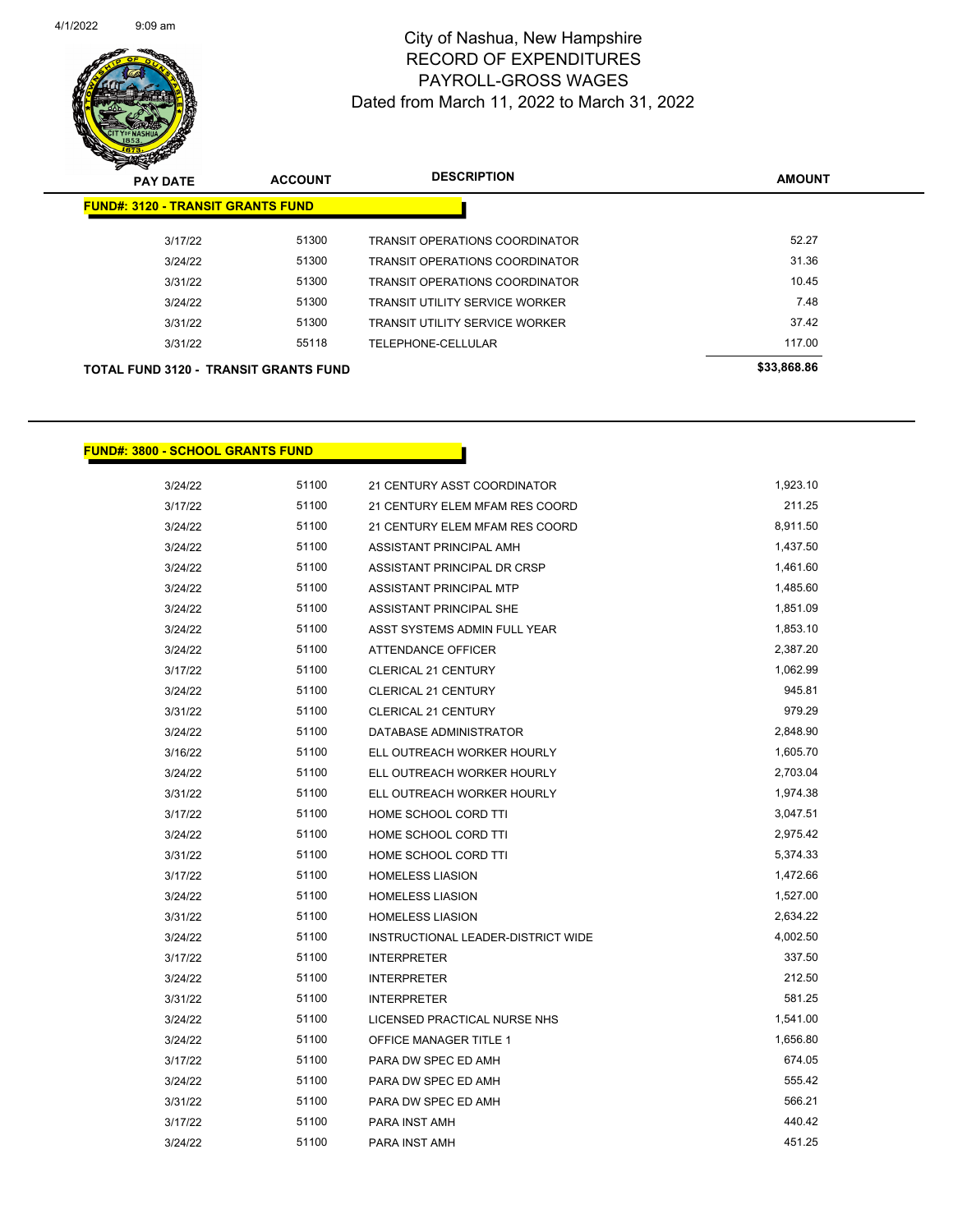

| $\mathbf{z}$<br>$\sim$<br><b>PAY DATE</b>    | <b>ACCOUNT</b> | <b>DESCRIPTION</b>                    | <b>AMOUNT</b> |
|----------------------------------------------|----------------|---------------------------------------|---------------|
| <b>FUND#: 3120 - TRANSIT GRANTS FUND</b>     |                |                                       |               |
| 3/17/22                                      | 51300          | <b>TRANSIT OPERATIONS COORDINATOR</b> | 52.27         |
| 3/24/22                                      | 51300          | <b>TRANSIT OPERATIONS COORDINATOR</b> | 31.36         |
| 3/31/22                                      | 51300          | <b>TRANSIT OPERATIONS COORDINATOR</b> | 10.45         |
| 3/24/22                                      | 51300          | <b>TRANSIT UTILITY SERVICE WORKER</b> | 7.48          |
| 3/31/22                                      | 51300          | <b>TRANSIT UTILITY SERVICE WORKER</b> | 37.42         |
| 3/31/22                                      | 55118          | TELEPHONE-CELLULAR                    | 117.00        |
| <b>TOTAL FUND 3120 - TRANSIT GRANTS FUND</b> |                |                                       | \$33,868.86   |

#### **FUND#: 3800 - SCHOOL GRANTS FUND**

| 3/24/22 | 51100 | 21 CENTURY ASST COORDINATOR        | 1,923.10 |
|---------|-------|------------------------------------|----------|
| 3/17/22 | 51100 | 21 CENTURY ELEM MFAM RES COORD     | 211.25   |
| 3/24/22 | 51100 | 21 CENTURY ELEM MFAM RES COORD     | 8,911.50 |
| 3/24/22 | 51100 | ASSISTANT PRINCIPAL AMH            | 1,437.50 |
| 3/24/22 | 51100 | ASSISTANT PRINCIPAL DR CRSP        | 1,461.60 |
| 3/24/22 | 51100 | ASSISTANT PRINCIPAL MTP            | 1,485.60 |
| 3/24/22 | 51100 | ASSISTANT PRINCIPAL SHE            | 1,851.09 |
| 3/24/22 | 51100 | ASST SYSTEMS ADMIN FULL YEAR       | 1,853.10 |
| 3/24/22 | 51100 | <b>ATTENDANCE OFFICER</b>          | 2,387.20 |
| 3/17/22 | 51100 | <b>CLERICAL 21 CENTURY</b>         | 1,062.99 |
| 3/24/22 | 51100 | <b>CLERICAL 21 CENTURY</b>         | 945.81   |
| 3/31/22 | 51100 | CLERICAL 21 CENTURY                | 979.29   |
| 3/24/22 | 51100 | DATABASE ADMINISTRATOR             | 2,848.90 |
| 3/16/22 | 51100 | ELL OUTREACH WORKER HOURLY         | 1,605.70 |
| 3/24/22 | 51100 | ELL OUTREACH WORKER HOURLY         | 2,703.04 |
| 3/31/22 | 51100 | ELL OUTREACH WORKER HOURLY         | 1,974.38 |
| 3/17/22 | 51100 | HOME SCHOOL CORD TTI               | 3,047.51 |
| 3/24/22 | 51100 | HOME SCHOOL CORD TTI               | 2,975.42 |
| 3/31/22 | 51100 | HOME SCHOOL CORD TTI               | 5,374.33 |
| 3/17/22 | 51100 | <b>HOMELESS LIASION</b>            | 1,472.66 |
| 3/24/22 | 51100 | <b>HOMELESS LIASION</b>            | 1,527.00 |
| 3/31/22 | 51100 | <b>HOMELESS LIASION</b>            | 2,634.22 |
| 3/24/22 | 51100 | INSTRUCTIONAL LEADER-DISTRICT WIDE | 4,002.50 |
| 3/17/22 | 51100 | <b>INTERPRETER</b>                 | 337.50   |
| 3/24/22 | 51100 | <b>INTERPRETER</b>                 | 212.50   |
| 3/31/22 | 51100 | <b>INTERPRETER</b>                 | 581.25   |
| 3/24/22 | 51100 | LICENSED PRACTICAL NURSE NHS       | 1,541.00 |
| 3/24/22 | 51100 | OFFICE MANAGER TITLE 1             | 1,656.80 |
| 3/17/22 | 51100 | PARA DW SPEC ED AMH                | 674.05   |
| 3/24/22 | 51100 | PARA DW SPEC ED AMH                | 555.42   |
| 3/31/22 | 51100 | PARA DW SPEC ED AMH                | 566.21   |
| 3/17/22 | 51100 | PARA INST AMH                      | 440.42   |
| 3/24/22 | 51100 | PARA INST AMH                      | 451.25   |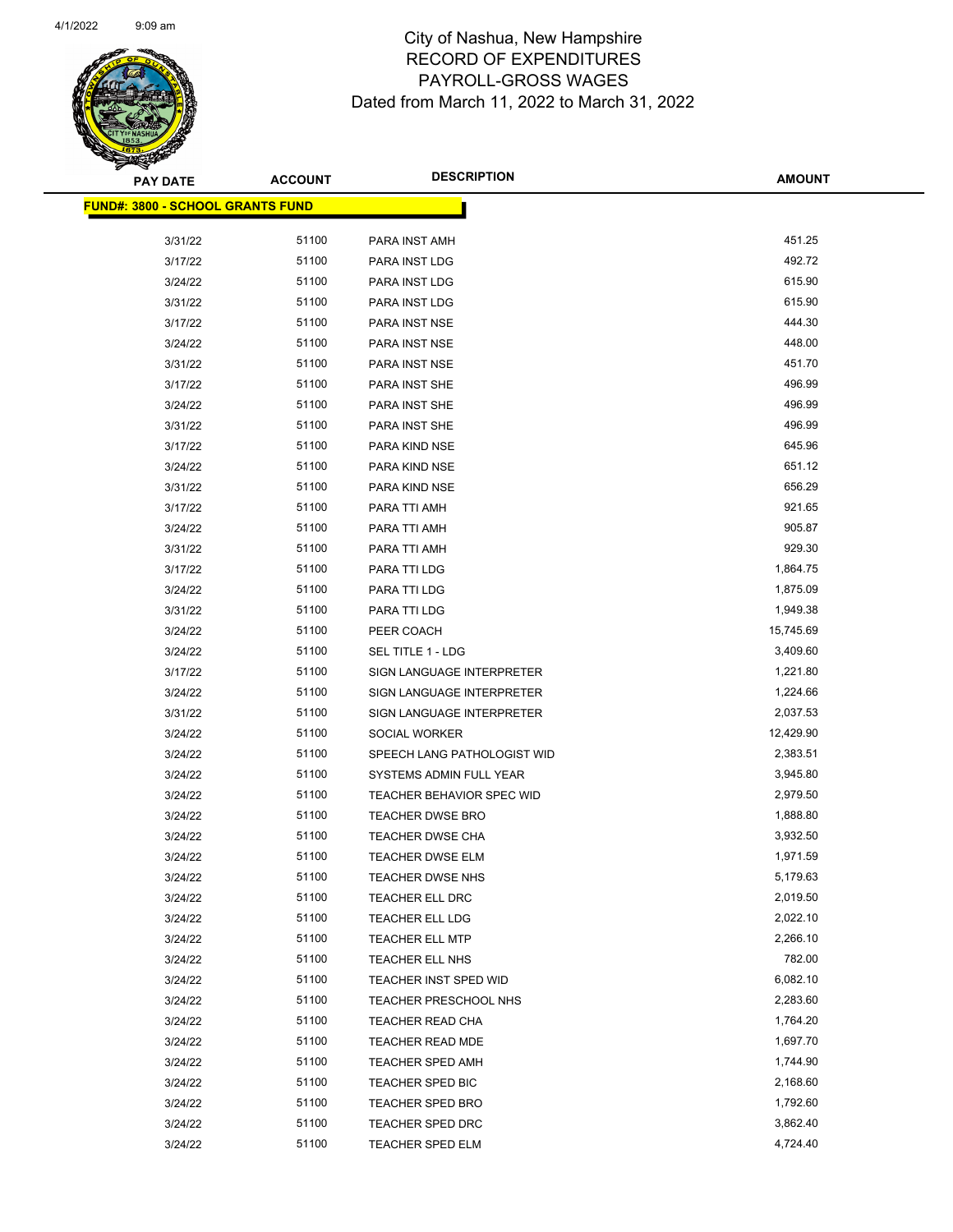

| <b>PAY DATE</b>                          | <b>ACCOUNT</b> | <b>DESCRIPTION</b>           | AMOUNT    |
|------------------------------------------|----------------|------------------------------|-----------|
| <u> FUND#: 3800 - SCHOOL GRANTS FUND</u> |                |                              |           |
|                                          |                |                              |           |
| 3/31/22                                  | 51100          | PARA INST AMH                | 451.25    |
| 3/17/22                                  | 51100          | PARA INST LDG                | 492.72    |
| 3/24/22                                  | 51100          | PARA INST LDG                | 615.90    |
| 3/31/22                                  | 51100          | PARA INST LDG                | 615.90    |
| 3/17/22                                  | 51100          | PARA INST NSE                | 444.30    |
| 3/24/22                                  | 51100          | PARA INST NSE                | 448.00    |
| 3/31/22                                  | 51100          | PARA INST NSE                | 451.70    |
| 3/17/22                                  | 51100          | PARA INST SHE                | 496.99    |
| 3/24/22                                  | 51100          | PARA INST SHE                | 496.99    |
| 3/31/22                                  | 51100          | PARA INST SHE                | 496.99    |
| 3/17/22                                  | 51100          | PARA KIND NSE                | 645.96    |
| 3/24/22                                  | 51100          | PARA KIND NSE                | 651.12    |
| 3/31/22                                  | 51100          | PARA KIND NSE                | 656.29    |
| 3/17/22                                  | 51100          | PARA TTI AMH                 | 921.65    |
| 3/24/22                                  | 51100          | PARA TTI AMH                 | 905.87    |
| 3/31/22                                  | 51100          | PARA TTI AMH                 | 929.30    |
| 3/17/22                                  | 51100          | PARA TTI LDG                 | 1,864.75  |
| 3/24/22                                  | 51100          | PARA TTI LDG                 | 1,875.09  |
| 3/31/22                                  | 51100          | PARA TTI LDG                 | 1,949.38  |
| 3/24/22                                  | 51100          | PEER COACH                   | 15,745.69 |
| 3/24/22                                  | 51100          | SEL TITLE 1 - LDG            | 3,409.60  |
| 3/17/22                                  | 51100          | SIGN LANGUAGE INTERPRETER    | 1,221.80  |
| 3/24/22                                  | 51100          | SIGN LANGUAGE INTERPRETER    | 1,224.66  |
| 3/31/22                                  | 51100          | SIGN LANGUAGE INTERPRETER    | 2,037.53  |
| 3/24/22                                  | 51100          | SOCIAL WORKER                | 12,429.90 |
| 3/24/22                                  | 51100          | SPEECH LANG PATHOLOGIST WID  | 2,383.51  |
| 3/24/22                                  | 51100          | SYSTEMS ADMIN FULL YEAR      | 3,945.80  |
| 3/24/22                                  | 51100          | TEACHER BEHAVIOR SPEC WID    | 2,979.50  |
| 3/24/22                                  | 51100          | <b>TEACHER DWSE BRO</b>      | 1,888.80  |
| 3/24/22                                  | 51100          | <b>TEACHER DWSE CHA</b>      | 3,932.50  |
| 3/24/22                                  | 51100          | <b>TEACHER DWSE ELM</b>      | 1,971.59  |
| 3/24/22                                  | 51100          | <b>TEACHER DWSE NHS</b>      | 5,179.63  |
| 3/24/22                                  | 51100          | TEACHER ELL DRC              | 2,019.50  |
| 3/24/22                                  | 51100          | TEACHER ELL LDG              | 2,022.10  |
| 3/24/22                                  | 51100          | <b>TEACHER ELL MTP</b>       | 2,266.10  |
| 3/24/22                                  | 51100          | TEACHER ELL NHS              | 782.00    |
| 3/24/22                                  | 51100          | TEACHER INST SPED WID        | 6,082.10  |
| 3/24/22                                  | 51100          | <b>TEACHER PRESCHOOL NHS</b> | 2,283.60  |
| 3/24/22                                  | 51100          | TEACHER READ CHA             | 1,764.20  |
| 3/24/22                                  | 51100          | TEACHER READ MDE             | 1,697.70  |
| 3/24/22                                  | 51100          | <b>TEACHER SPED AMH</b>      | 1,744.90  |
| 3/24/22                                  | 51100          | TEACHER SPED BIC             | 2,168.60  |
| 3/24/22                                  | 51100          | <b>TEACHER SPED BRO</b>      | 1,792.60  |
| 3/24/22                                  | 51100          | <b>TEACHER SPED DRC</b>      | 3,862.40  |
| 3/24/22                                  | 51100          | TEACHER SPED ELM             | 4,724.40  |
|                                          |                |                              |           |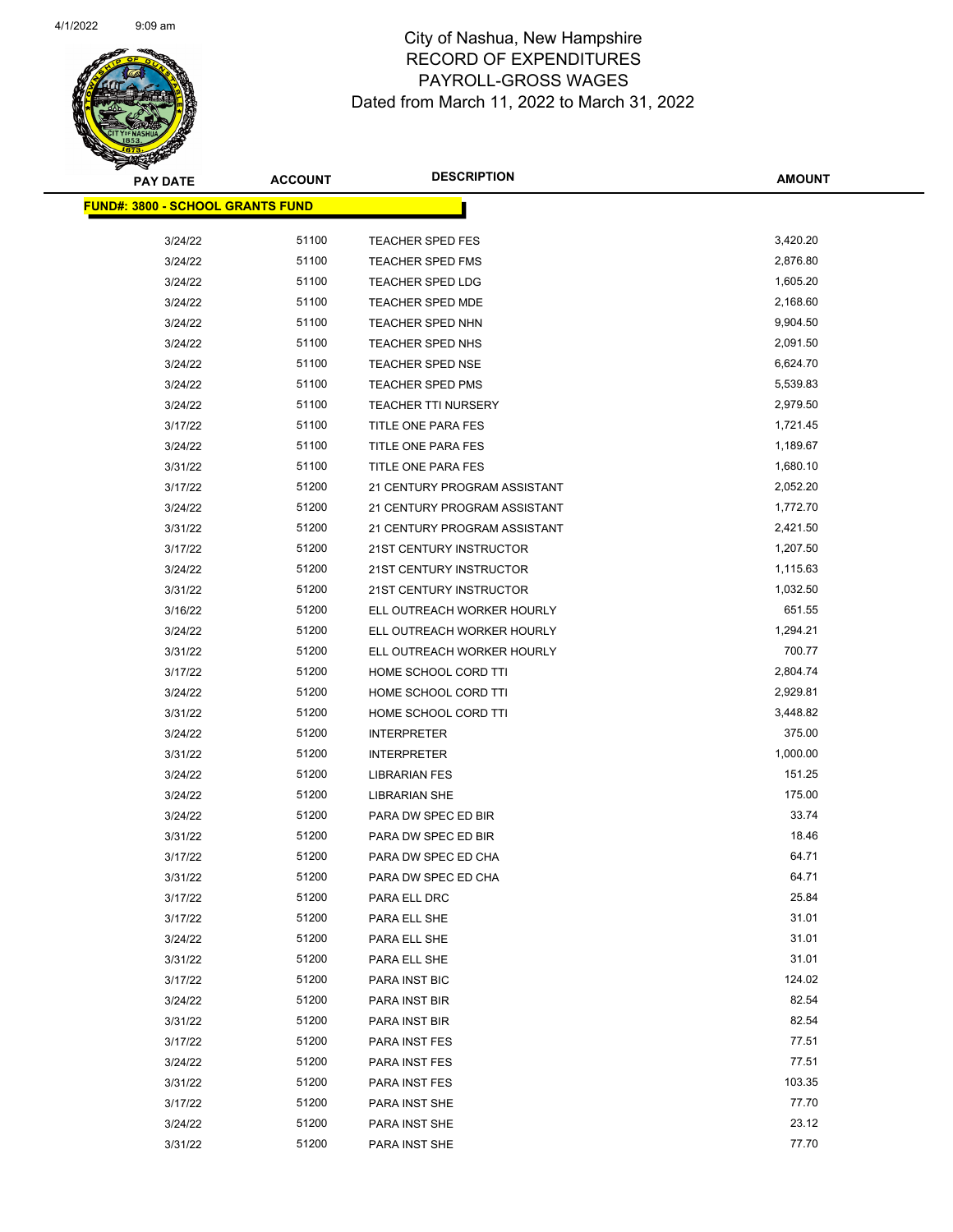

| <b>PAY DATE</b>                          | <b>ACCOUNT</b> | <b>DESCRIPTION</b>           | <b>AMOUNT</b> |
|------------------------------------------|----------------|------------------------------|---------------|
| <u> FUND#: 3800 - SCHOOL GRANTS FUND</u> |                |                              |               |
|                                          |                |                              |               |
| 3/24/22                                  | 51100          | <b>TEACHER SPED FES</b>      | 3,420.20      |
| 3/24/22                                  | 51100          | <b>TEACHER SPED FMS</b>      | 2,876.80      |
| 3/24/22                                  | 51100          | <b>TEACHER SPED LDG</b>      | 1,605.20      |
| 3/24/22                                  | 51100          | <b>TEACHER SPED MDE</b>      | 2,168.60      |
| 3/24/22                                  | 51100          | <b>TEACHER SPED NHN</b>      | 9,904.50      |
| 3/24/22                                  | 51100          | <b>TEACHER SPED NHS</b>      | 2,091.50      |
| 3/24/22                                  | 51100          | <b>TEACHER SPED NSE</b>      | 6,624.70      |
| 3/24/22                                  | 51100          | TEACHER SPED PMS             | 5,539.83      |
| 3/24/22                                  | 51100          | <b>TEACHER TTI NURSERY</b>   | 2,979.50      |
| 3/17/22                                  | 51100          | TITLE ONE PARA FES           | 1,721.45      |
| 3/24/22                                  | 51100          | TITLE ONE PARA FES           | 1,189.67      |
| 3/31/22                                  | 51100          | TITLE ONE PARA FES           | 1,680.10      |
| 3/17/22                                  | 51200          | 21 CENTURY PROGRAM ASSISTANT | 2,052.20      |
| 3/24/22                                  | 51200          | 21 CENTURY PROGRAM ASSISTANT | 1,772.70      |
| 3/31/22                                  | 51200          | 21 CENTURY PROGRAM ASSISTANT | 2,421.50      |
| 3/17/22                                  | 51200          | 21ST CENTURY INSTRUCTOR      | 1,207.50      |
| 3/24/22                                  | 51200          | 21ST CENTURY INSTRUCTOR      | 1,115.63      |
| 3/31/22                                  | 51200          | 21ST CENTURY INSTRUCTOR      | 1,032.50      |
| 3/16/22                                  | 51200          | ELL OUTREACH WORKER HOURLY   | 651.55        |
| 3/24/22                                  | 51200          | ELL OUTREACH WORKER HOURLY   | 1,294.21      |
| 3/31/22                                  | 51200          | ELL OUTREACH WORKER HOURLY   | 700.77        |
| 3/17/22                                  | 51200          | HOME SCHOOL CORD TTI         | 2,804.74      |
| 3/24/22                                  | 51200          | HOME SCHOOL CORD TTI         | 2,929.81      |
| 3/31/22                                  | 51200          | HOME SCHOOL CORD TTI         | 3,448.82      |
| 3/24/22                                  | 51200          | <b>INTERPRETER</b>           | 375.00        |
| 3/31/22                                  | 51200          | <b>INTERPRETER</b>           | 1,000.00      |
| 3/24/22                                  | 51200          | <b>LIBRARIAN FES</b>         | 151.25        |
| 3/24/22                                  | 51200          | <b>LIBRARIAN SHE</b>         | 175.00        |
| 3/24/22                                  | 51200          | PARA DW SPEC ED BIR          | 33.74         |
| 3/31/22                                  | 51200          | PARA DW SPEC ED BIR          | 18.46         |
| 3/17/22                                  | 51200          | PARA DW SPEC ED CHA          | 64.71         |
| 3/31/22                                  | 51200          | PARA DW SPEC ED CHA          | 64.71         |
| 3/17/22                                  | 51200          | PARA ELL DRC                 | 25.84         |
| 3/17/22                                  | 51200          | PARA ELL SHE                 | 31.01         |
| 3/24/22                                  | 51200          | PARA ELL SHE                 | 31.01         |
| 3/31/22                                  | 51200          | PARA ELL SHE                 | 31.01         |
| 3/17/22                                  | 51200          | PARA INST BIC                | 124.02        |
| 3/24/22                                  | 51200          | PARA INST BIR                | 82.54         |
| 3/31/22                                  | 51200          | PARA INST BIR                | 82.54         |
| 3/17/22                                  | 51200          | PARA INST FES                | 77.51         |
| 3/24/22                                  | 51200          | PARA INST FES                | 77.51         |
| 3/31/22                                  | 51200          | PARA INST FES                | 103.35        |
| 3/17/22                                  | 51200          | PARA INST SHE                | 77.70         |
| 3/24/22                                  | 51200          | PARA INST SHE                | 23.12         |
| 3/31/22                                  | 51200          | PARA INST SHE                | 77.70         |
|                                          |                |                              |               |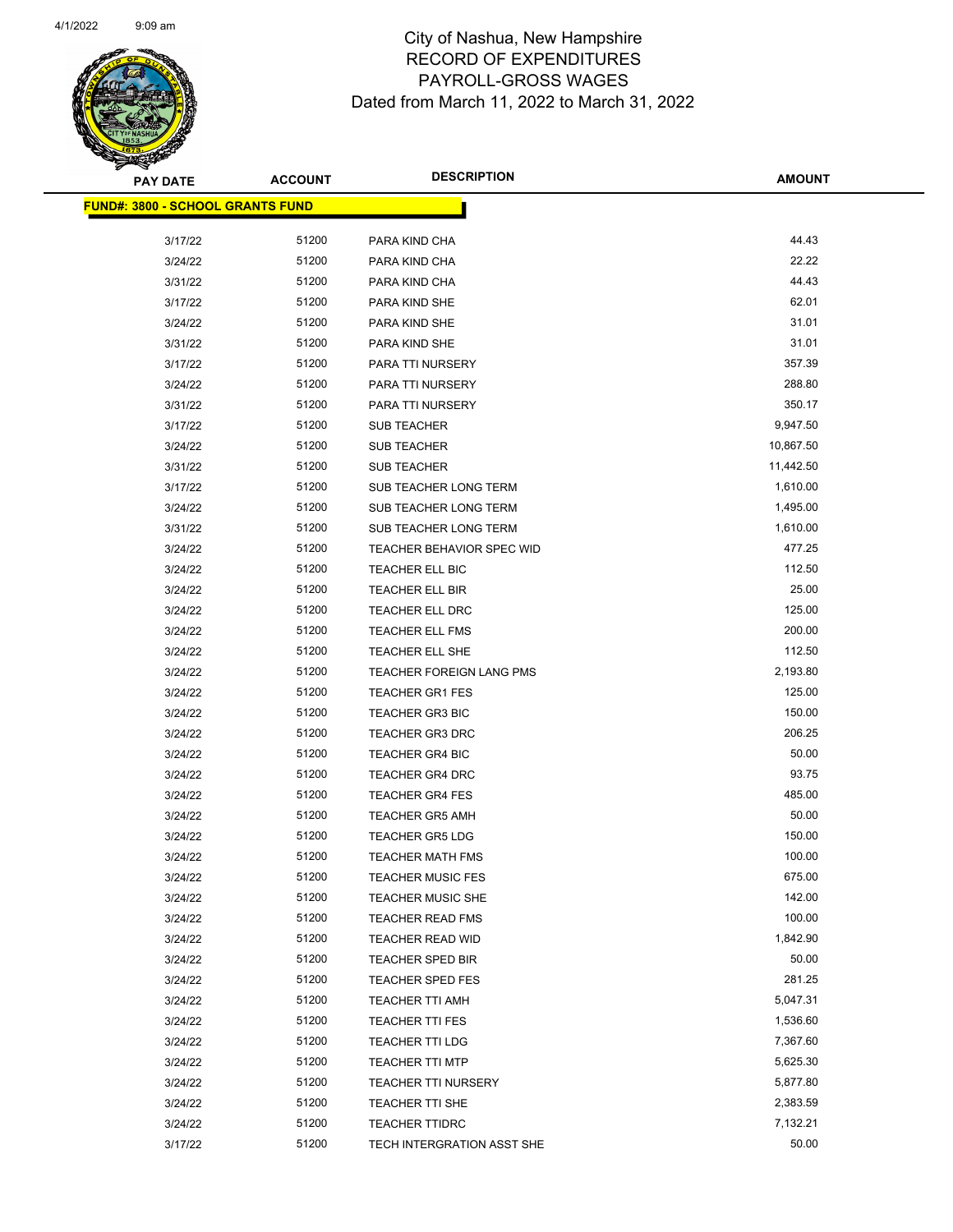

| <b>PAY DATE</b>                         | <b>ACCOUNT</b> | <b>DESCRIPTION</b>               | <b>AMOUNT</b> |
|-----------------------------------------|----------------|----------------------------------|---------------|
| <b>FUND#: 3800 - SCHOOL GRANTS FUND</b> |                |                                  |               |
|                                         |                |                                  |               |
| 3/17/22                                 | 51200          | PARA KIND CHA                    | 44.43         |
| 3/24/22                                 | 51200          | PARA KIND CHA                    | 22.22         |
| 3/31/22                                 | 51200          | PARA KIND CHA                    | 44.43         |
| 3/17/22                                 | 51200          | PARA KIND SHE                    | 62.01         |
| 3/24/22                                 | 51200          | PARA KIND SHE                    | 31.01         |
| 3/31/22                                 | 51200          | PARA KIND SHE                    | 31.01         |
| 3/17/22                                 | 51200          | PARA TTI NURSERY                 | 357.39        |
| 3/24/22                                 | 51200          | PARA TTI NURSERY                 | 288.80        |
| 3/31/22                                 | 51200          | PARA TTI NURSERY                 | 350.17        |
| 3/17/22                                 | 51200          | SUB TEACHER                      | 9,947.50      |
| 3/24/22                                 | 51200          | SUB TEACHER                      | 10,867.50     |
| 3/31/22                                 | 51200          | SUB TEACHER                      | 11,442.50     |
| 3/17/22                                 | 51200          | SUB TEACHER LONG TERM            | 1,610.00      |
| 3/24/22                                 | 51200          | SUB TEACHER LONG TERM            | 1,495.00      |
| 3/31/22                                 | 51200          | SUB TEACHER LONG TERM            | 1,610.00      |
| 3/24/22                                 | 51200          | <b>TEACHER BEHAVIOR SPEC WID</b> | 477.25        |
| 3/24/22                                 | 51200          | TEACHER ELL BIC                  | 112.50        |
| 3/24/22                                 | 51200          | TEACHER ELL BIR                  | 25.00         |
| 3/24/22                                 | 51200          | TEACHER ELL DRC                  | 125.00        |
| 3/24/22                                 | 51200          | TEACHER ELL FMS                  | 200.00        |
| 3/24/22                                 | 51200          | <b>TEACHER ELL SHE</b>           | 112.50        |
| 3/24/22                                 | 51200          | TEACHER FOREIGN LANG PMS         | 2,193.80      |
| 3/24/22                                 | 51200          | <b>TEACHER GR1 FES</b>           | 125.00        |
| 3/24/22                                 | 51200          | <b>TEACHER GR3 BIC</b>           | 150.00        |
| 3/24/22                                 | 51200          | <b>TEACHER GR3 DRC</b>           | 206.25        |
| 3/24/22                                 | 51200          | <b>TEACHER GR4 BIC</b>           | 50.00         |
| 3/24/22                                 | 51200          | <b>TEACHER GR4 DRC</b>           | 93.75         |
| 3/24/22                                 | 51200          | <b>TEACHER GR4 FES</b>           | 485.00        |
| 3/24/22                                 | 51200          | <b>TEACHER GR5 AMH</b>           | 50.00         |
| 3/24/22                                 | 51200          | <b>TEACHER GR5 LDG</b>           | 150.00        |
| 3/24/22                                 | 51200          | <b>TEACHER MATH FMS</b>          | 100.00        |
| 3/24/22                                 | 51200          | <b>TEACHER MUSIC FES</b>         | 675.00        |
| 3/24/22                                 | 51200          | TEACHER MUSIC SHE                | 142.00        |
| 3/24/22                                 | 51200          | <b>TEACHER READ FMS</b>          | 100.00        |
|                                         | 51200          |                                  | 1,842.90      |
| 3/24/22                                 |                | TEACHER READ WID                 | 50.00         |
| 3/24/22                                 | 51200          | <b>TEACHER SPED BIR</b>          |               |
| 3/24/22                                 | 51200          | <b>TEACHER SPED FES</b>          | 281.25        |
| 3/24/22                                 | 51200          | <b>TEACHER TTI AMH</b>           | 5,047.31      |
| 3/24/22                                 | 51200          | TEACHER TTI FES                  | 1,536.60      |
| 3/24/22                                 | 51200          | TEACHER TTI LDG                  | 7,367.60      |
| 3/24/22                                 | 51200          | <b>TEACHER TTI MTP</b>           | 5,625.30      |
| 3/24/22                                 | 51200          | <b>TEACHER TTI NURSERY</b>       | 5,877.80      |
| 3/24/22                                 | 51200          | TEACHER TTI SHE                  | 2,383.59      |
| 3/24/22                                 | 51200          | <b>TEACHER TTIDRC</b>            | 7,132.21      |
| 3/17/22                                 | 51200          | TECH INTERGRATION ASST SHE       | 50.00         |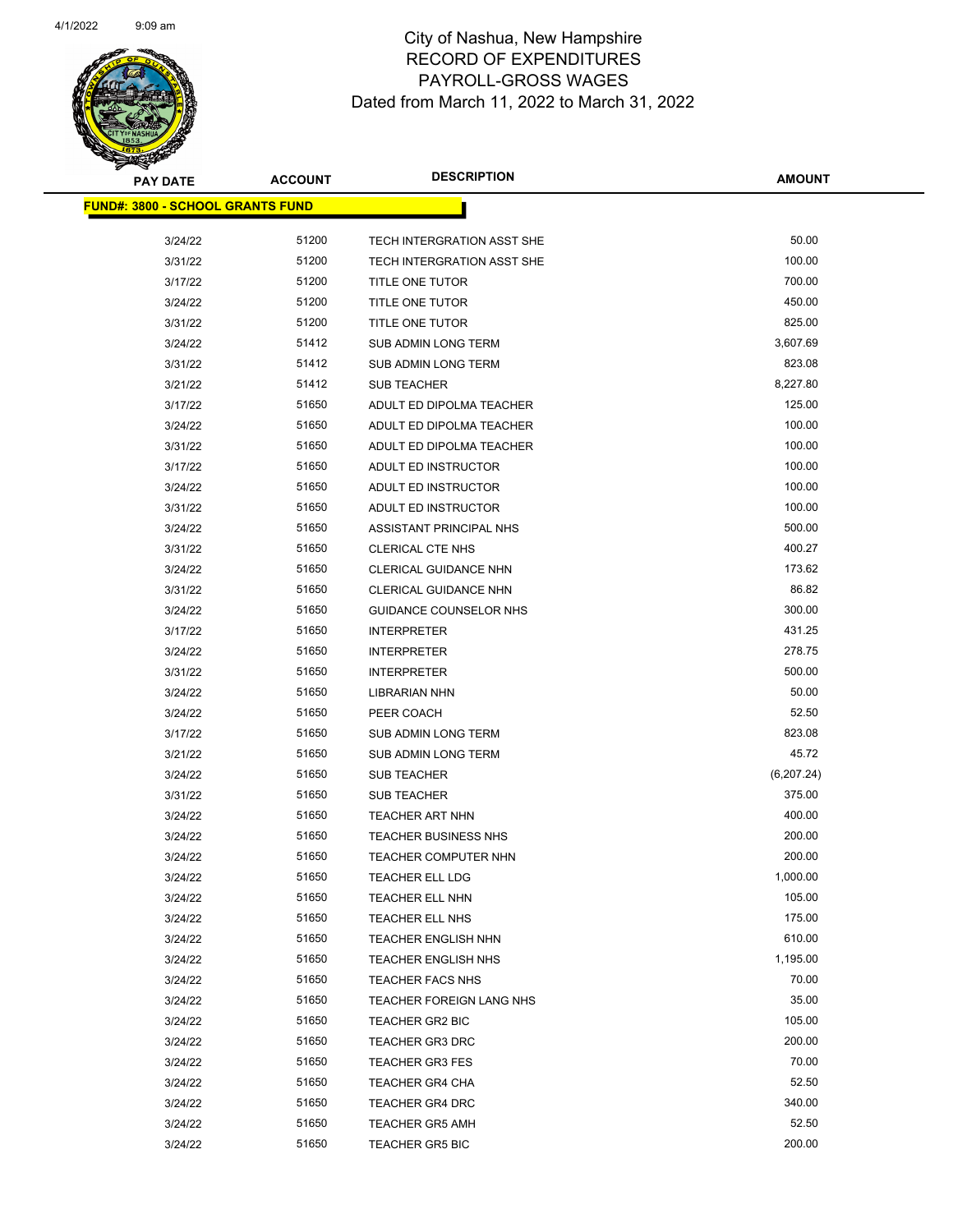

| <b>PAY DATE</b>                         | <b>ACCOUNT</b> | <b>DESCRIPTION</b>              | <b>AMOUNT</b>   |
|-----------------------------------------|----------------|---------------------------------|-----------------|
| <b>FUND#: 3800 - SCHOOL GRANTS FUND</b> |                |                                 |                 |
|                                         |                |                                 |                 |
| 3/24/22<br>3/31/22                      | 51200<br>51200 | TECH INTERGRATION ASST SHE      | 50.00<br>100.00 |
| 3/17/22                                 | 51200          | TECH INTERGRATION ASST SHE      | 700.00          |
|                                         |                | <b>TITLE ONE TUTOR</b>          | 450.00          |
| 3/24/22                                 | 51200          | TITLE ONE TUTOR                 |                 |
| 3/31/22                                 | 51200          | TITLE ONE TUTOR                 | 825.00          |
| 3/24/22                                 | 51412          | <b>SUB ADMIN LONG TERM</b>      | 3,607.69        |
| 3/31/22                                 | 51412          | <b>SUB ADMIN LONG TERM</b>      | 823.08          |
| 3/21/22                                 | 51412          | <b>SUB TEACHER</b>              | 8,227.80        |
| 3/17/22                                 | 51650          | ADULT ED DIPOLMA TEACHER        | 125.00          |
| 3/24/22                                 | 51650          | ADULT ED DIPOLMA TEACHER        | 100.00          |
| 3/31/22                                 | 51650          | ADULT ED DIPOLMA TEACHER        | 100.00          |
| 3/17/22                                 | 51650          | ADULT ED INSTRUCTOR             | 100.00          |
| 3/24/22                                 | 51650          | ADULT ED INSTRUCTOR             | 100.00          |
| 3/31/22                                 | 51650          | ADULT ED INSTRUCTOR             | 100.00          |
| 3/24/22                                 | 51650          | ASSISTANT PRINCIPAL NHS         | 500.00          |
| 3/31/22                                 | 51650          | <b>CLERICAL CTE NHS</b>         | 400.27          |
| 3/24/22                                 | 51650          | CLERICAL GUIDANCE NHN           | 173.62          |
| 3/31/22                                 | 51650          | <b>CLERICAL GUIDANCE NHN</b>    | 86.82           |
| 3/24/22                                 | 51650          | <b>GUIDANCE COUNSELOR NHS</b>   | 300.00          |
| 3/17/22                                 | 51650          | <b>INTERPRETER</b>              | 431.25          |
| 3/24/22                                 | 51650          | <b>INTERPRETER</b>              | 278.75          |
| 3/31/22                                 | 51650          | <b>INTERPRETER</b>              | 500.00          |
| 3/24/22                                 | 51650          | <b>LIBRARIAN NHN</b>            | 50.00           |
| 3/24/22                                 | 51650          | PEER COACH                      | 52.50           |
| 3/17/22                                 | 51650          | <b>SUB ADMIN LONG TERM</b>      | 823.08          |
| 3/21/22                                 | 51650          | <b>SUB ADMIN LONG TERM</b>      | 45.72           |
| 3/24/22                                 | 51650          | <b>SUB TEACHER</b>              | (6,207.24)      |
| 3/31/22                                 | 51650          | <b>SUB TEACHER</b>              | 375.00          |
| 3/24/22                                 | 51650          | TEACHER ART NHN                 | 400.00          |
| 3/24/22                                 | 51650          | <b>TEACHER BUSINESS NHS</b>     | 200.00          |
| 3/24/22                                 | 51650          | TEACHER COMPUTER NHN            | 200.00          |
| 3/24/22                                 | 51650          | TEACHER ELL LDG                 | 1,000.00        |
| 3/24/22                                 | 51650          | TEACHER ELL NHN                 | 105.00          |
| 3/24/22                                 | 51650          | TEACHER ELL NHS                 | 175.00          |
| 3/24/22                                 | 51650          | <b>TEACHER ENGLISH NHN</b>      | 610.00          |
| 3/24/22                                 | 51650          | <b>TEACHER ENGLISH NHS</b>      | 1,195.00        |
| 3/24/22                                 | 51650          | <b>TEACHER FACS NHS</b>         | 70.00           |
| 3/24/22                                 | 51650          | <b>TEACHER FOREIGN LANG NHS</b> | 35.00           |
| 3/24/22                                 | 51650          | TEACHER GR2 BIC                 | 105.00          |
| 3/24/22                                 | 51650          | <b>TEACHER GR3 DRC</b>          | 200.00          |
| 3/24/22                                 | 51650          | <b>TEACHER GR3 FES</b>          | 70.00           |
| 3/24/22                                 | 51650          | <b>TEACHER GR4 CHA</b>          | 52.50           |
| 3/24/22                                 | 51650          | <b>TEACHER GR4 DRC</b>          | 340.00          |
| 3/24/22                                 | 51650          | <b>TEACHER GR5 AMH</b>          | 52.50           |
| 3/24/22                                 | 51650          | <b>TEACHER GR5 BIC</b>          | 200.00          |
|                                         |                |                                 |                 |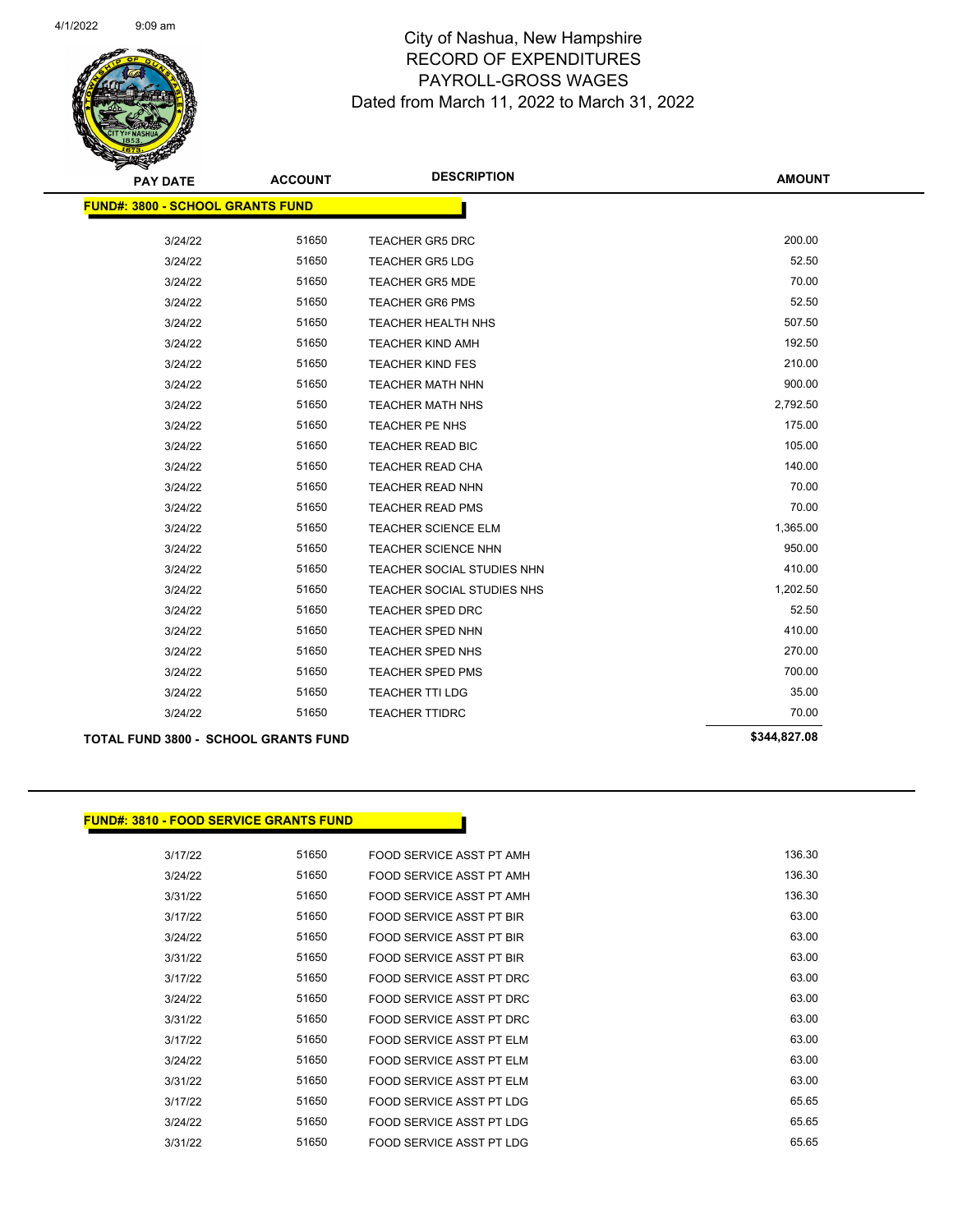

| <b>PAY DATE</b>                         | <b>ACCOUNT</b> | <b>DESCRIPTION</b>         | <b>AMOUNT</b> |
|-----------------------------------------|----------------|----------------------------|---------------|
| <b>FUND#: 3800 - SCHOOL GRANTS FUND</b> |                |                            |               |
|                                         |                |                            |               |
| 3/24/22                                 | 51650          | <b>TEACHER GR5 DRC</b>     | 200.00        |
| 3/24/22                                 | 51650          | <b>TEACHER GR5 LDG</b>     | 52.50         |
| 3/24/22                                 | 51650          | <b>TEACHER GR5 MDE</b>     | 70.00         |
| 3/24/22                                 | 51650          | <b>TEACHER GR6 PMS</b>     | 52.50         |
| 3/24/22                                 | 51650          | <b>TEACHER HEALTH NHS</b>  | 507.50        |
| 3/24/22                                 | 51650          | <b>TEACHER KIND AMH</b>    | 192.50        |
| 3/24/22                                 | 51650          | <b>TEACHER KIND FES</b>    | 210.00        |
| 3/24/22                                 | 51650          | <b>TEACHER MATH NHN</b>    | 900.00        |
| 3/24/22                                 | 51650          | <b>TEACHER MATH NHS</b>    | 2,792.50      |
| 3/24/22                                 | 51650          | TEACHER PE NHS             | 175.00        |
| 3/24/22                                 | 51650          | <b>TEACHER READ BIC</b>    | 105.00        |
| 3/24/22                                 | 51650          | TEACHER READ CHA           | 140.00        |
| 3/24/22                                 | 51650          | <b>TEACHER READ NHN</b>    | 70.00         |
| 3/24/22                                 | 51650          | <b>TEACHER READ PMS</b>    | 70.00         |
| 3/24/22                                 | 51650          | <b>TEACHER SCIENCE ELM</b> | 1,365.00      |
| 3/24/22                                 | 51650          | <b>TEACHER SCIENCE NHN</b> | 950.00        |
| 3/24/22                                 | 51650          | TEACHER SOCIAL STUDIES NHN | 410.00        |
| 3/24/22                                 | 51650          | TEACHER SOCIAL STUDIES NHS | 1,202.50      |
| 3/24/22                                 | 51650          | TEACHER SPED DRC           | 52.50         |
| 3/24/22                                 | 51650          | <b>TEACHER SPED NHN</b>    | 410.00        |
| 3/24/22                                 | 51650          | TEACHER SPED NHS           | 270.00        |
| 3/24/22                                 | 51650          | <b>TEACHER SPED PMS</b>    | 700.00        |
| 3/24/22                                 | 51650          | <b>TEACHER TTI LDG</b>     | 35.00         |
| 3/24/22                                 | 51650          | <b>TEACHER TTIDRC</b>      | 70.00         |
|                                         |                |                            |               |

#### **TOTAL FUND 3800 - SCHOOL GRANTS FUND \$344,827.08**

#### **FUND#: 3810 - FOOD SERVICE GRANTS FUND**

| 136.30 | FOOD SERVICE ASST PT AMH | 51650 | 3/17/22 |
|--------|--------------------------|-------|---------|
| 136.30 | FOOD SERVICE ASST PT AMH | 51650 | 3/24/22 |
| 136.30 | FOOD SERVICE ASST PT AMH | 51650 | 3/31/22 |
| 63.00  | FOOD SERVICE ASST PT BIR | 51650 | 3/17/22 |
| 63.00  | FOOD SERVICE ASST PT BIR | 51650 | 3/24/22 |
| 63.00  | FOOD SERVICE ASST PT BIR | 51650 | 3/31/22 |
| 63.00  | FOOD SERVICE ASST PT DRC | 51650 | 3/17/22 |
| 63.00  | FOOD SERVICE ASST PT DRC | 51650 | 3/24/22 |
| 63.00  | FOOD SERVICE ASST PT DRC | 51650 | 3/31/22 |
| 63.00  | FOOD SERVICE ASST PT ELM | 51650 | 3/17/22 |
| 63.00  | FOOD SERVICE ASST PT ELM | 51650 | 3/24/22 |
| 63.00  | FOOD SERVICE ASST PT ELM | 51650 | 3/31/22 |
| 65.65  | FOOD SERVICE ASST PT LDG | 51650 | 3/17/22 |
| 65.65  | FOOD SERVICE ASST PT LDG | 51650 | 3/24/22 |
| 65.65  | FOOD SERVICE ASST PT LDG | 51650 | 3/31/22 |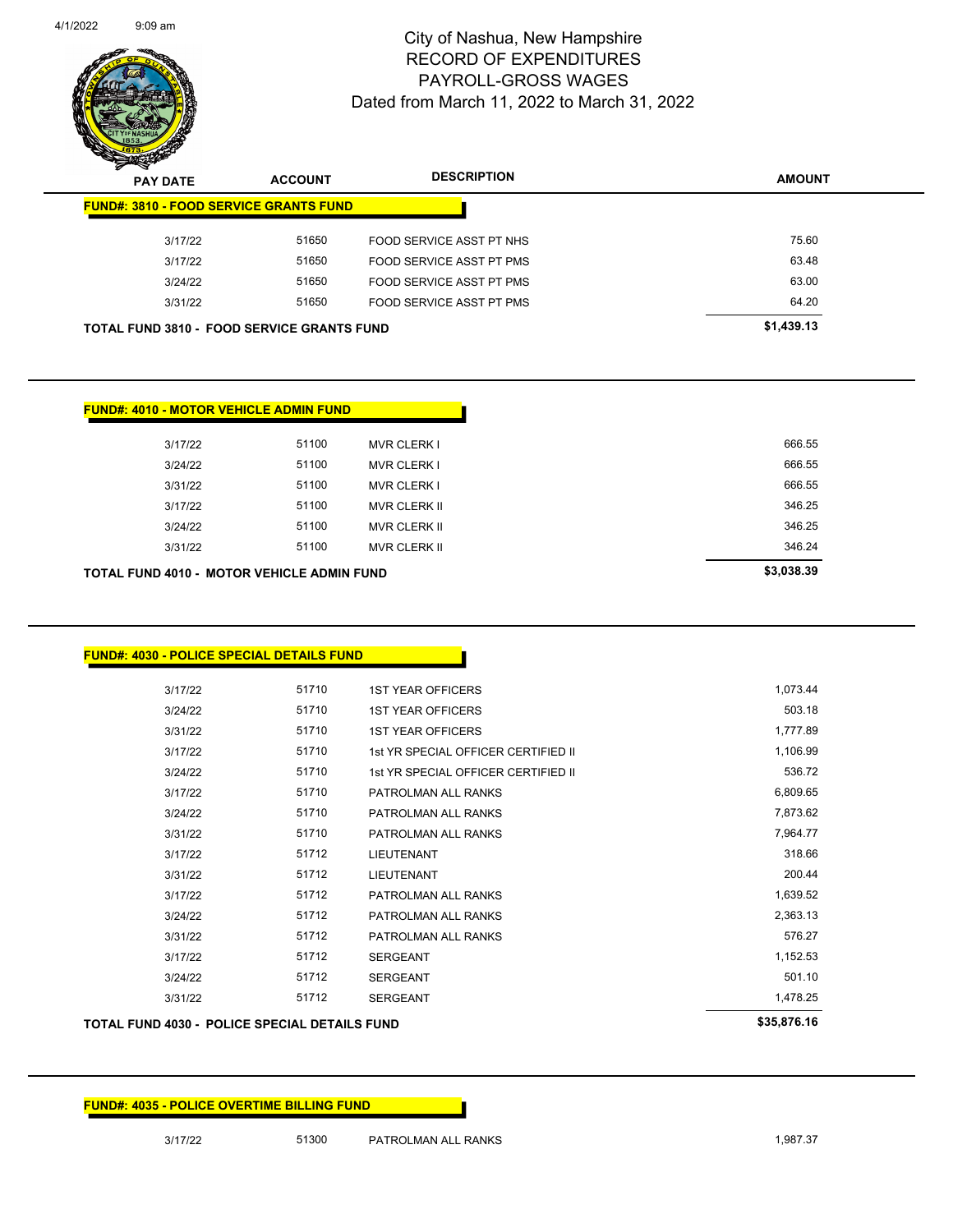

Page 134 of 141

| <b>PAY DATE</b>                                   | <b>ACCOUNT</b> | <b>DESCRIPTION</b>       | <b>AMOUNT</b> |
|---------------------------------------------------|----------------|--------------------------|---------------|
| <b>FUND#: 3810 - FOOD SERVICE GRANTS FUND</b>     |                |                          |               |
| 3/17/22                                           | 51650          | FOOD SERVICE ASST PT NHS | 75.60         |
| 3/17/22                                           | 51650          | FOOD SERVICE ASST PT PMS | 63.48         |
| 3/24/22                                           | 51650          | FOOD SERVICE ASST PT PMS | 63.00         |
| 3/31/22                                           | 51650          | FOOD SERVICE ASST PT PMS | 64.20         |
| <b>TOTAL FUND 3810 - FOOD SERVICE GRANTS FUND</b> |                |                          | \$1,439.13    |

|            |                     |       | <b>FUND#: 4010 - MOTOR VEHICLE ADMIN FUND</b>     |
|------------|---------------------|-------|---------------------------------------------------|
| 666.55     | <b>MVR CLERK I</b>  | 51100 | 3/17/22                                           |
| 666.55     | <b>MVR CLERK I</b>  | 51100 | 3/24/22                                           |
| 666.55     | <b>MVR CLERK I</b>  | 51100 | 3/31/22                                           |
| 346.25     | <b>MVR CLERK II</b> | 51100 | 3/17/22                                           |
| 346.25     | <b>MVR CLERK II</b> | 51100 | 3/24/22                                           |
| 346.24     | <b>MVR CLERK II</b> | 51100 | 3/31/22                                           |
| \$3,038.39 |                     |       | <b>TOTAL FUND 4010 - MOTOR VEHICLE ADMIN FUND</b> |

|  |  |  | FUND#: 4030 - POLICE SPECIAL DETAILS FUND_ |
|--|--|--|--------------------------------------------|
|--|--|--|--------------------------------------------|

| 3/17/22 | 51710 | <b>1ST YEAR OFFICERS</b>            | 1,073.44 |
|---------|-------|-------------------------------------|----------|
| 3/24/22 | 51710 | <b>1ST YEAR OFFICERS</b>            | 503.18   |
| 3/31/22 | 51710 | <b>1ST YEAR OFFICERS</b>            | 1,777.89 |
| 3/17/22 | 51710 | 1st YR SPECIAL OFFICER CERTIFIED II | 1,106.99 |
| 3/24/22 | 51710 | 1st YR SPECIAL OFFICER CERTIFIED II | 536.72   |
| 3/17/22 | 51710 | PATROLMAN ALL RANKS                 | 6,809.65 |
| 3/24/22 | 51710 | PATROLMAN ALL RANKS                 | 7,873.62 |
| 3/31/22 | 51710 | PATROLMAN ALL RANKS                 | 7,964.77 |
| 3/17/22 | 51712 | <b>LIEUTENANT</b>                   | 318.66   |
| 3/31/22 | 51712 | <b>LIEUTENANT</b>                   | 200.44   |
| 3/17/22 | 51712 | PATROLMAN ALL RANKS                 | 1,639.52 |
| 3/24/22 | 51712 | PATROLMAN ALL RANKS                 | 2,363.13 |
| 3/31/22 | 51712 | PATROLMAN ALL RANKS                 | 576.27   |
| 3/17/22 | 51712 | <b>SERGEANT</b>                     | 1,152.53 |
| 3/24/22 | 51712 | <b>SERGEANT</b>                     | 501.10   |
| 3/31/22 | 51712 | <b>SERGEANT</b>                     | 1,478.25 |
|         |       |                                     |          |

#### **TOTAL FUND 4030 - POLICE SPECIAL DETAILS FUND \$35,876.16**

| <b>FUND#: 4035 - POLICE OVERTIME BILLING FUND</b> |
|---------------------------------------------------|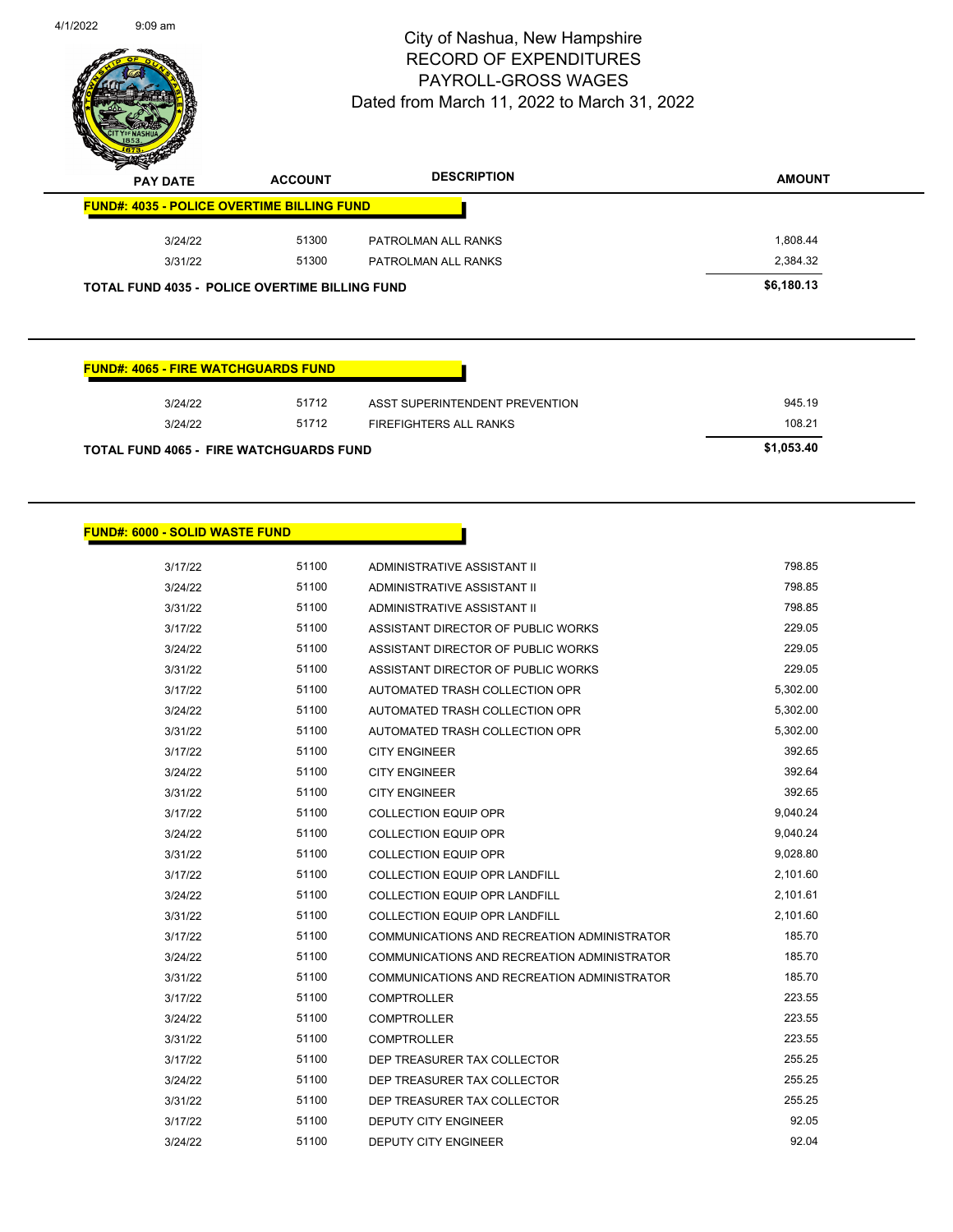

| $\,$<br>∼<br><b>PAY DATE</b>                          | <b>ACCOUNT</b> | <b>DESCRIPTION</b>  | <b>AMOUNT</b> |
|-------------------------------------------------------|----------------|---------------------|---------------|
| <b>FUND#: 4035 - POLICE OVERTIME BILLING FUND</b>     |                |                     |               |
| 3/24/22                                               | 51300          | PATROLMAN ALL RANKS | 1.808.44      |
| 3/31/22                                               | 51300          | PATROLMAN ALL RANKS | 2,384.32      |
| <b>TOTAL FUND 4035 - POLICE OVERTIME BILLING FUND</b> |                |                     | \$6,180.13    |

|  | FUND#: 4065 - FIRE WATCHGUARDS FUND |  |
|--|-------------------------------------|--|
|  |                                     |  |

| 3/24/22                                        | 51712      | ASST SUPERINTENDENT PREVENTION | 945.19 |
|------------------------------------------------|------------|--------------------------------|--------|
| 3/24/22                                        | 51712      | FIREFIGHTERS ALL RANKS         | 108.21 |
| <b>TOTAL FUND 4065 - FIRE WATCHGUARDS FUND</b> | \$1.053.40 |                                |        |

#### **FUND#: 6000 - SOLID WASTE FUND**

| 3/17/22 | 51100 | ADMINISTRATIVE ASSISTANT II                 | 798.85   |
|---------|-------|---------------------------------------------|----------|
| 3/24/22 | 51100 | ADMINISTRATIVE ASSISTANT II                 | 798.85   |
| 3/31/22 | 51100 | ADMINISTRATIVE ASSISTANT II                 | 798.85   |
| 3/17/22 | 51100 | ASSISTANT DIRECTOR OF PUBLIC WORKS          | 229.05   |
| 3/24/22 | 51100 | ASSISTANT DIRECTOR OF PUBLIC WORKS          | 229.05   |
| 3/31/22 | 51100 | ASSISTANT DIRECTOR OF PUBLIC WORKS          | 229.05   |
| 3/17/22 | 51100 | AUTOMATED TRASH COLLECTION OPR              | 5,302.00 |
| 3/24/22 | 51100 | AUTOMATED TRASH COLLECTION OPR              | 5,302.00 |
| 3/31/22 | 51100 | AUTOMATED TRASH COLLECTION OPR              | 5,302.00 |
| 3/17/22 | 51100 | <b>CITY ENGINEER</b>                        | 392.65   |
| 3/24/22 | 51100 | <b>CITY ENGINEER</b>                        | 392.64   |
| 3/31/22 | 51100 | <b>CITY ENGINEER</b>                        | 392.65   |
| 3/17/22 | 51100 | <b>COLLECTION EQUIP OPR</b>                 | 9,040.24 |
| 3/24/22 | 51100 | <b>COLLECTION EQUIP OPR</b>                 | 9,040.24 |
| 3/31/22 | 51100 | <b>COLLECTION EQUIP OPR</b>                 | 9,028.80 |
| 3/17/22 | 51100 | <b>COLLECTION EQUIP OPR LANDFILL</b>        | 2,101.60 |
| 3/24/22 | 51100 | <b>COLLECTION EQUIP OPR LANDFILL</b>        | 2,101.61 |
| 3/31/22 | 51100 | <b>COLLECTION EQUIP OPR LANDFILL</b>        | 2,101.60 |
| 3/17/22 | 51100 | COMMUNICATIONS AND RECREATION ADMINISTRATOR | 185.70   |
| 3/24/22 | 51100 | COMMUNICATIONS AND RECREATION ADMINISTRATOR | 185.70   |
| 3/31/22 | 51100 | COMMUNICATIONS AND RECREATION ADMINISTRATOR | 185.70   |
| 3/17/22 | 51100 | <b>COMPTROLLER</b>                          | 223.55   |
| 3/24/22 | 51100 | <b>COMPTROLLER</b>                          | 223.55   |
| 3/31/22 | 51100 | <b>COMPTROLLER</b>                          | 223.55   |
| 3/17/22 | 51100 | DEP TREASURER TAX COLLECTOR                 | 255.25   |
| 3/24/22 | 51100 | DEP TREASURER TAX COLLECTOR                 | 255.25   |
| 3/31/22 | 51100 | DEP TREASURER TAX COLLECTOR                 | 255.25   |
| 3/17/22 | 51100 | <b>DEPUTY CITY ENGINEER</b>                 | 92.05    |
| 3/24/22 | 51100 | <b>DEPUTY CITY ENGINEER</b>                 | 92.04    |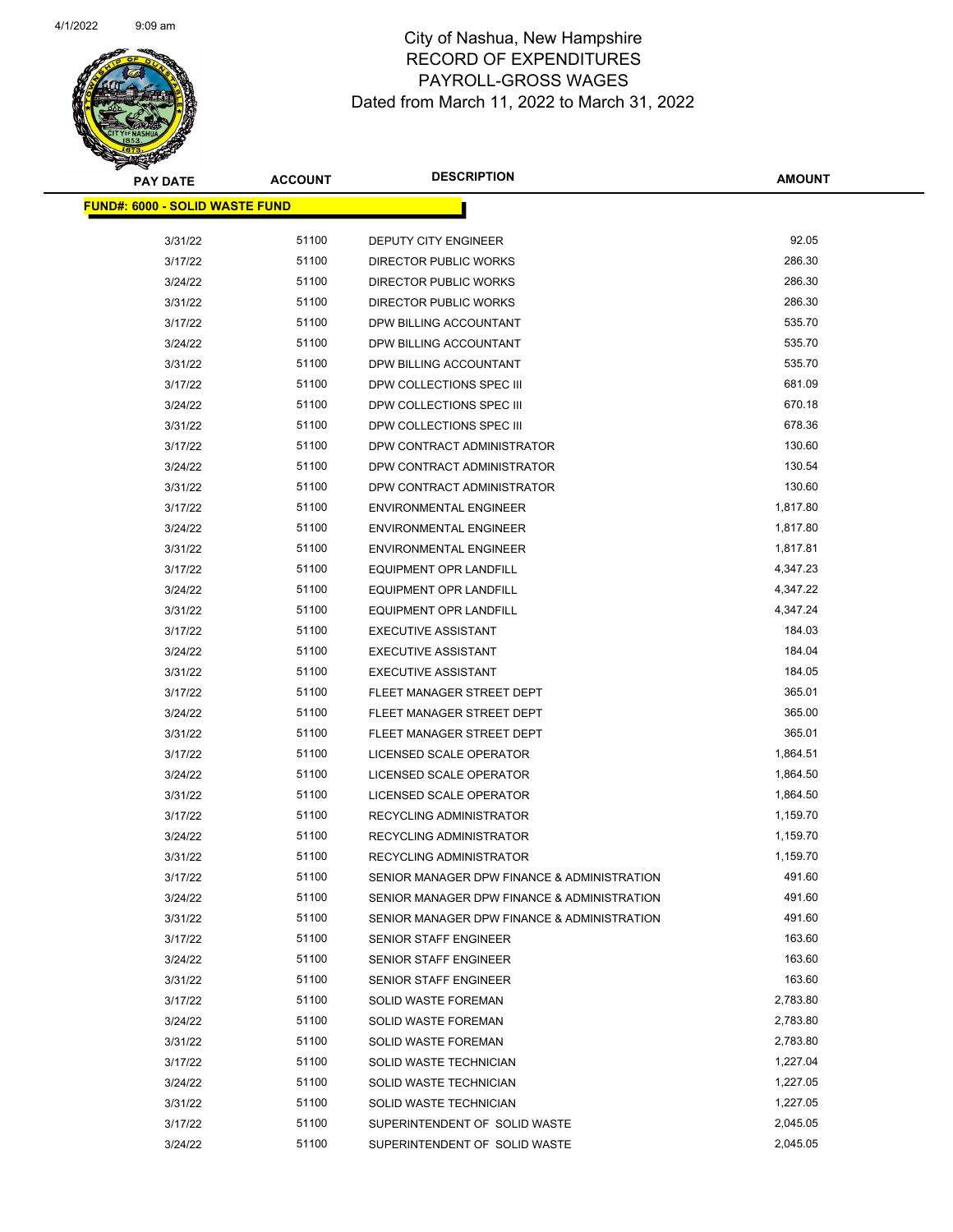

| <b>PAY DATE</b>                        | <b>ACCOUNT</b> | <b>DESCRIPTION</b>                          | <b>AMOUNT</b> |  |
|----------------------------------------|----------------|---------------------------------------------|---------------|--|
| <u> FUND#: 6000 - SOLID WASTE FUND</u> |                |                                             |               |  |
|                                        |                |                                             |               |  |
| 3/31/22                                | 51100          | DEPUTY CITY ENGINEER                        | 92.05         |  |
| 3/17/22                                | 51100          | <b>DIRECTOR PUBLIC WORKS</b>                | 286.30        |  |
| 3/24/22                                | 51100          | <b>DIRECTOR PUBLIC WORKS</b>                | 286.30        |  |
| 3/31/22                                | 51100          | <b>DIRECTOR PUBLIC WORKS</b>                | 286.30        |  |
| 3/17/22                                | 51100          | DPW BILLING ACCOUNTANT                      | 535.70        |  |
| 3/24/22                                | 51100          | DPW BILLING ACCOUNTANT                      | 535.70        |  |
| 3/31/22                                | 51100          | DPW BILLING ACCOUNTANT                      | 535.70        |  |
| 3/17/22                                | 51100          | DPW COLLECTIONS SPEC III                    | 681.09        |  |
| 3/24/22                                | 51100          | DPW COLLECTIONS SPEC III                    | 670.18        |  |
| 3/31/22                                | 51100          | DPW COLLECTIONS SPEC III                    | 678.36        |  |
| 3/17/22                                | 51100          | DPW CONTRACT ADMINISTRATOR                  | 130.60        |  |
| 3/24/22                                | 51100          | DPW CONTRACT ADMINISTRATOR                  | 130.54        |  |
| 3/31/22                                | 51100          | DPW CONTRACT ADMINISTRATOR                  | 130.60        |  |
| 3/17/22                                | 51100          | <b>ENVIRONMENTAL ENGINEER</b>               | 1,817.80      |  |
| 3/24/22                                | 51100          | <b>ENVIRONMENTAL ENGINEER</b>               | 1,817.80      |  |
| 3/31/22                                | 51100          | <b>ENVIRONMENTAL ENGINEER</b>               | 1,817.81      |  |
| 3/17/22                                | 51100          | <b>EQUIPMENT OPR LANDFILL</b>               | 4,347.23      |  |
| 3/24/22                                | 51100          | <b>EQUIPMENT OPR LANDFILL</b>               | 4,347.22      |  |
| 3/31/22                                | 51100          | <b>EQUIPMENT OPR LANDFILL</b>               | 4,347.24      |  |
| 3/17/22                                | 51100          | <b>EXECUTIVE ASSISTANT</b>                  | 184.03        |  |
| 3/24/22                                | 51100          | <b>EXECUTIVE ASSISTANT</b>                  | 184.04        |  |
| 3/31/22                                | 51100          | <b>EXECUTIVE ASSISTANT</b>                  | 184.05        |  |
| 3/17/22                                | 51100          | FLEET MANAGER STREET DEPT                   | 365.01        |  |
| 3/24/22                                | 51100          | FLEET MANAGER STREET DEPT                   | 365.00        |  |
| 3/31/22                                | 51100          | FLEET MANAGER STREET DEPT                   | 365.01        |  |
| 3/17/22                                | 51100          | LICENSED SCALE OPERATOR                     | 1,864.51      |  |
| 3/24/22                                | 51100          | LICENSED SCALE OPERATOR                     | 1,864.50      |  |
| 3/31/22                                | 51100          | LICENSED SCALE OPERATOR                     | 1,864.50      |  |
| 3/17/22                                | 51100          | RECYCLING ADMINISTRATOR                     | 1,159.70      |  |
| 3/24/22                                | 51100          | RECYCLING ADMINISTRATOR                     | 1,159.70      |  |
| 3/31/22                                | 51100          | RECYCLING ADMINISTRATOR                     | 1,159.70      |  |
| 3/17/22                                | 51100          | SENIOR MANAGER DPW FINANCE & ADMINISTRATION | 491.60        |  |
| 3/24/22                                | 51100          | SENIOR MANAGER DPW FINANCE & ADMINISTRATION | 491.60        |  |
| 3/31/22                                | 51100          | SENIOR MANAGER DPW FINANCE & ADMINISTRATION | 491.60        |  |
| 3/17/22                                | 51100          | SENIOR STAFF ENGINEER                       | 163.60        |  |
| 3/24/22                                | 51100          | SENIOR STAFF ENGINEER                       | 163.60        |  |
| 3/31/22                                | 51100          | SENIOR STAFF ENGINEER                       | 163.60        |  |
| 3/17/22                                | 51100          | <b>SOLID WASTE FOREMAN</b>                  | 2,783.80      |  |
| 3/24/22                                | 51100          | SOLID WASTE FOREMAN                         | 2,783.80      |  |
| 3/31/22                                | 51100          | <b>SOLID WASTE FOREMAN</b>                  | 2,783.80      |  |
| 3/17/22                                | 51100          | SOLID WASTE TECHNICIAN                      | 1,227.04      |  |
| 3/24/22                                | 51100          | SOLID WASTE TECHNICIAN                      | 1,227.05      |  |
| 3/31/22                                | 51100          | SOLID WASTE TECHNICIAN                      | 1,227.05      |  |
| 3/17/22                                | 51100          | SUPERINTENDENT OF SOLID WASTE               | 2,045.05      |  |
| 3/24/22                                | 51100          | SUPERINTENDENT OF SOLID WASTE               | 2,045.05      |  |
|                                        |                |                                             |               |  |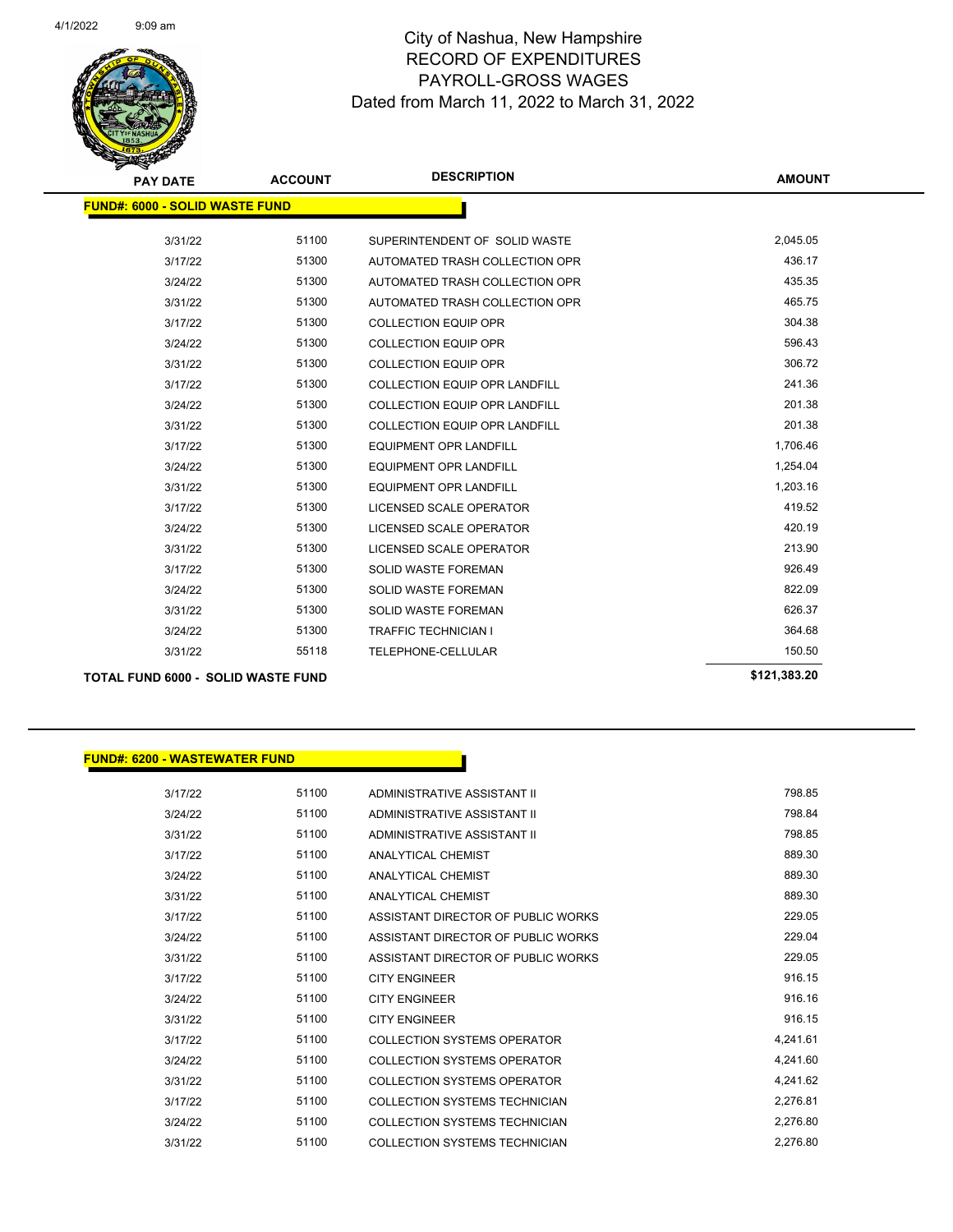

| <b>PAY DATE</b>                           | <b>ACCOUNT</b> | <b>DESCRIPTION</b>                   | <b>AMOUNT</b> |
|-------------------------------------------|----------------|--------------------------------------|---------------|
| <b>FUND#: 6000 - SOLID WASTE FUND</b>     |                |                                      |               |
| 3/31/22                                   | 51100          | SUPERINTENDENT OF SOLID WASTE        | 2,045.05      |
| 3/17/22                                   | 51300          | AUTOMATED TRASH COLLECTION OPR       | 436.17        |
| 3/24/22                                   | 51300          | AUTOMATED TRASH COLLECTION OPR       | 435.35        |
| 3/31/22                                   | 51300          | AUTOMATED TRASH COLLECTION OPR       | 465.75        |
| 3/17/22                                   | 51300          | <b>COLLECTION EQUIP OPR</b>          | 304.38        |
| 3/24/22                                   | 51300          | <b>COLLECTION EQUIP OPR</b>          | 596.43        |
| 3/31/22                                   | 51300          | <b>COLLECTION EQUIP OPR</b>          | 306.72        |
| 3/17/22                                   | 51300          | <b>COLLECTION EQUIP OPR LANDFILL</b> | 241.36        |
| 3/24/22                                   | 51300          | <b>COLLECTION EQUIP OPR LANDFILL</b> | 201.38        |
| 3/31/22                                   | 51300          | <b>COLLECTION EQUIP OPR LANDFILL</b> | 201.38        |
| 3/17/22                                   | 51300          | <b>EQUIPMENT OPR LANDFILL</b>        | 1,706.46      |
| 3/24/22                                   | 51300          | <b>EQUIPMENT OPR LANDFILL</b>        | 1,254.04      |
| 3/31/22                                   | 51300          | <b>EQUIPMENT OPR LANDFILL</b>        | 1,203.16      |
| 3/17/22                                   | 51300          | LICENSED SCALE OPERATOR              | 419.52        |
| 3/24/22                                   | 51300          | LICENSED SCALE OPERATOR              | 420.19        |
| 3/31/22                                   | 51300          | LICENSED SCALE OPERATOR              | 213.90        |
| 3/17/22                                   | 51300          | <b>SOLID WASTE FOREMAN</b>           | 926.49        |
| 3/24/22                                   | 51300          | <b>SOLID WASTE FOREMAN</b>           | 822.09        |
| 3/31/22                                   | 51300          | <b>SOLID WASTE FOREMAN</b>           | 626.37        |
| 3/24/22                                   | 51300          | <b>TRAFFIC TECHNICIAN I</b>          | 364.68        |
| 3/31/22                                   | 55118          | TELEPHONE-CELLULAR                   | 150.50        |
| <b>TOTAL FUND 6000 - SOLID WASTE FUND</b> |                |                                      | \$121,383.20  |

| <b>FUND#: 6200 - WASTEWATER FUND</b> |       |                                      |          |
|--------------------------------------|-------|--------------------------------------|----------|
| 3/17/22                              | 51100 | ADMINISTRATIVE ASSISTANT II          | 798.85   |
| 3/24/22                              | 51100 | ADMINISTRATIVE ASSISTANT II          | 798.84   |
| 3/31/22                              | 51100 | ADMINISTRATIVE ASSISTANT II          | 798.85   |
| 3/17/22                              | 51100 | <b>ANALYTICAL CHEMIST</b>            | 889.30   |
| 3/24/22                              | 51100 | <b>ANALYTICAL CHEMIST</b>            | 889.30   |
| 3/31/22                              | 51100 | <b>ANALYTICAL CHEMIST</b>            | 889.30   |
| 3/17/22                              | 51100 | ASSISTANT DIRECTOR OF PUBLIC WORKS   | 229.05   |
| 3/24/22                              | 51100 | ASSISTANT DIRECTOR OF PUBLIC WORKS   | 229.04   |
| 3/31/22                              | 51100 | ASSISTANT DIRECTOR OF PUBLIC WORKS   | 229.05   |
| 3/17/22                              | 51100 | <b>CITY ENGINEER</b>                 | 916.15   |
| 3/24/22                              | 51100 | <b>CITY ENGINEER</b>                 | 916.16   |
| 3/31/22                              | 51100 | <b>CITY ENGINEER</b>                 | 916.15   |
| 3/17/22                              | 51100 | <b>COLLECTION SYSTEMS OPERATOR</b>   | 4,241.61 |
| 3/24/22                              | 51100 | <b>COLLECTION SYSTEMS OPERATOR</b>   | 4,241.60 |
| 3/31/22                              | 51100 | <b>COLLECTION SYSTEMS OPERATOR</b>   | 4.241.62 |
| 3/17/22                              | 51100 | <b>COLLECTION SYSTEMS TECHNICIAN</b> | 2,276.81 |
| 3/24/22                              | 51100 | <b>COLLECTION SYSTEMS TECHNICIAN</b> | 2,276.80 |
| 3/31/22                              | 51100 | <b>COLLECTION SYSTEMS TECHNICIAN</b> | 2,276.80 |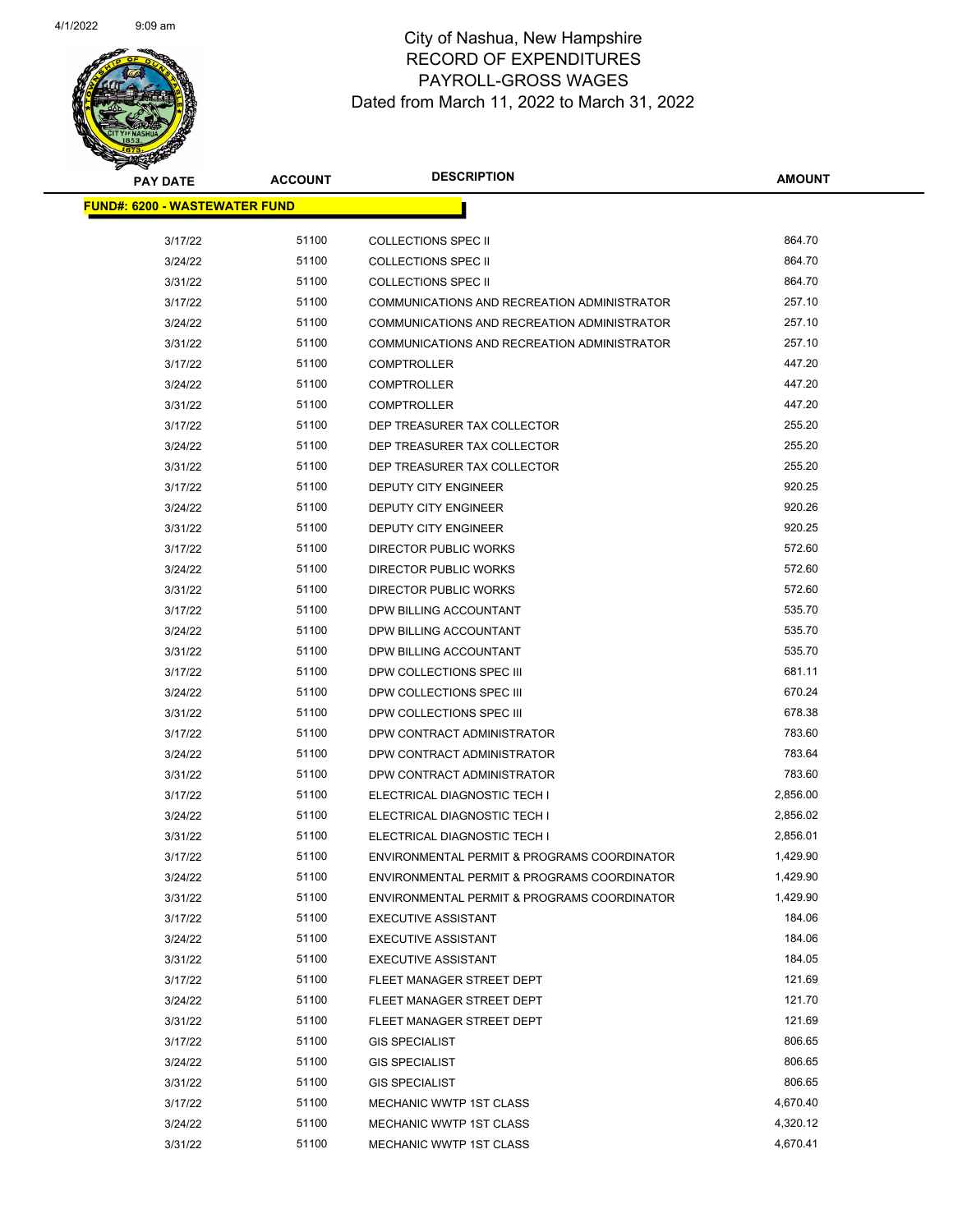

| <b>PAY DATE</b>                       | <b>ACCOUNT</b> | <b>DESCRIPTION</b>                          | <b>AMOUNT</b> |
|---------------------------------------|----------------|---------------------------------------------|---------------|
| <u> FUND#: 6200 - WASTEWATER FUND</u> |                |                                             |               |
| 3/17/22                               | 51100          | <b>COLLECTIONS SPEC II</b>                  | 864.70        |
| 3/24/22                               | 51100          | <b>COLLECTIONS SPEC II</b>                  | 864.70        |
| 3/31/22                               | 51100          | <b>COLLECTIONS SPEC II</b>                  | 864.70        |
| 3/17/22                               | 51100          | COMMUNICATIONS AND RECREATION ADMINISTRATOR | 257.10        |
| 3/24/22                               | 51100          | COMMUNICATIONS AND RECREATION ADMINISTRATOR | 257.10        |
| 3/31/22                               | 51100          | COMMUNICATIONS AND RECREATION ADMINISTRATOR | 257.10        |
| 3/17/22                               | 51100          | <b>COMPTROLLER</b>                          | 447.20        |
| 3/24/22                               | 51100          | <b>COMPTROLLER</b>                          | 447.20        |
| 3/31/22                               | 51100          | <b>COMPTROLLER</b>                          | 447.20        |
| 3/17/22                               | 51100          | DEP TREASURER TAX COLLECTOR                 | 255.20        |
| 3/24/22                               | 51100          | DEP TREASURER TAX COLLECTOR                 | 255.20        |
| 3/31/22                               | 51100          | DEP TREASURER TAX COLLECTOR                 | 255.20        |
| 3/17/22                               | 51100          | DEPUTY CITY ENGINEER                        | 920.25        |
| 3/24/22                               | 51100          | DEPUTY CITY ENGINEER                        | 920.26        |
| 3/31/22                               | 51100          | DEPUTY CITY ENGINEER                        | 920.25        |
| 3/17/22                               | 51100          | <b>DIRECTOR PUBLIC WORKS</b>                | 572.60        |
| 3/24/22                               | 51100          | DIRECTOR PUBLIC WORKS                       | 572.60        |
| 3/31/22                               | 51100          | <b>DIRECTOR PUBLIC WORKS</b>                | 572.60        |
| 3/17/22                               | 51100          | DPW BILLING ACCOUNTANT                      | 535.70        |
| 3/24/22                               | 51100          | DPW BILLING ACCOUNTANT                      | 535.70        |
| 3/31/22                               | 51100          | DPW BILLING ACCOUNTANT                      | 535.70        |
| 3/17/22                               | 51100          | DPW COLLECTIONS SPEC III                    | 681.11        |
| 3/24/22                               | 51100          | DPW COLLECTIONS SPEC III                    | 670.24        |
| 3/31/22                               | 51100          | DPW COLLECTIONS SPEC III                    | 678.38        |
| 3/17/22                               | 51100          | DPW CONTRACT ADMINISTRATOR                  | 783.60        |
| 3/24/22                               | 51100          | DPW CONTRACT ADMINISTRATOR                  | 783.64        |
| 3/31/22                               | 51100          | DPW CONTRACT ADMINISTRATOR                  | 783.60        |
| 3/17/22                               | 51100          | ELECTRICAL DIAGNOSTIC TECH I                | 2,856.00      |
| 3/24/22                               | 51100          | ELECTRICAL DIAGNOSTIC TECH I                | 2,856.02      |
| 3/31/22                               | 51100          | ELECTRICAL DIAGNOSTIC TECH I                | 2,856.01      |
| 3/17/22                               | 51100          | ENVIRONMENTAL PERMIT & PROGRAMS COORDINATOR | 1,429.90      |
| 3/24/22                               | 51100          | ENVIRONMENTAL PERMIT & PROGRAMS COORDINATOR | 1,429.90      |
| 3/31/22                               | 51100          | ENVIRONMENTAL PERMIT & PROGRAMS COORDINATOR | 1,429.90      |
| 3/17/22                               | 51100          | <b>EXECUTIVE ASSISTANT</b>                  | 184.06        |
| 3/24/22                               | 51100          | <b>EXECUTIVE ASSISTANT</b>                  | 184.06        |
| 3/31/22                               | 51100          | <b>EXECUTIVE ASSISTANT</b>                  | 184.05        |
| 3/17/22                               | 51100          | FLEET MANAGER STREET DEPT                   | 121.69        |
| 3/24/22                               | 51100          | FLEET MANAGER STREET DEPT                   | 121.70        |
| 3/31/22                               | 51100          | FLEET MANAGER STREET DEPT                   | 121.69        |
| 3/17/22                               | 51100          | <b>GIS SPECIALIST</b>                       | 806.65        |
| 3/24/22                               | 51100          | <b>GIS SPECIALIST</b>                       | 806.65        |
| 3/31/22                               | 51100          | <b>GIS SPECIALIST</b>                       | 806.65        |
| 3/17/22                               | 51100          | MECHANIC WWTP 1ST CLASS                     | 4,670.40      |
| 3/24/22                               | 51100          | MECHANIC WWTP 1ST CLASS                     | 4,320.12      |
| 3/31/22                               | 51100          | MECHANIC WWTP 1ST CLASS                     | 4,670.41      |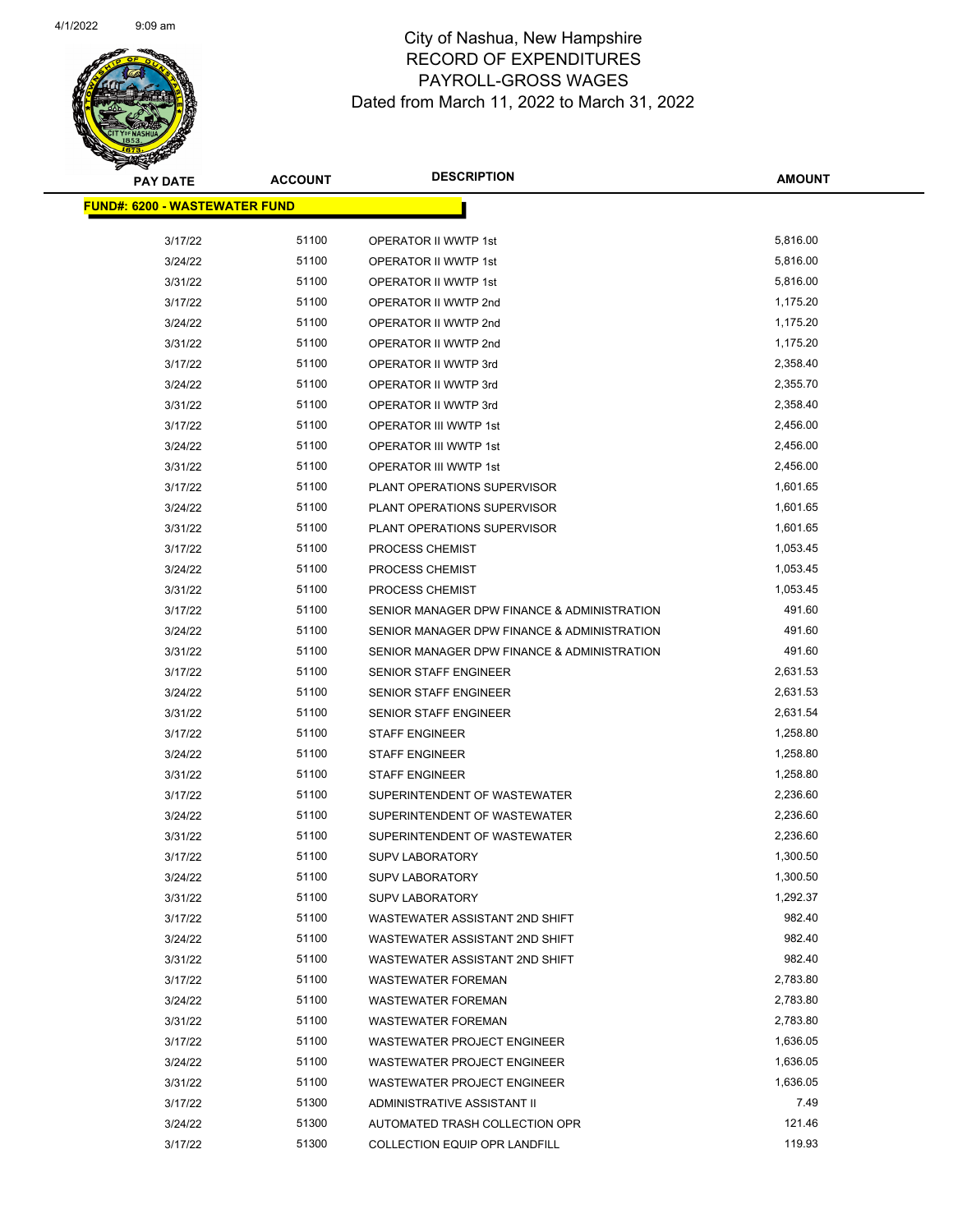

| <b>PAY DATE</b>                       | <b>ACCOUNT</b> | <b>DESCRIPTION</b>                          | <b>AMOUNT</b> |  |
|---------------------------------------|----------------|---------------------------------------------|---------------|--|
| <u> FUND#: 6200 - WASTEWATER FUND</u> |                |                                             |               |  |
|                                       |                |                                             |               |  |
| 3/17/22                               | 51100          | OPERATOR II WWTP 1st                        | 5,816.00      |  |
| 3/24/22                               | 51100          | OPERATOR II WWTP 1st                        | 5,816.00      |  |
| 3/31/22                               | 51100          | <b>OPERATOR II WWTP 1st</b>                 | 5,816.00      |  |
| 3/17/22                               | 51100          | OPERATOR II WWTP 2nd                        | 1,175.20      |  |
| 3/24/22                               | 51100          | OPERATOR II WWTP 2nd                        | 1,175.20      |  |
| 3/31/22                               | 51100          | OPERATOR II WWTP 2nd                        | 1,175.20      |  |
| 3/17/22                               | 51100          | OPERATOR II WWTP 3rd                        | 2,358.40      |  |
| 3/24/22                               | 51100          | OPERATOR II WWTP 3rd                        | 2,355.70      |  |
| 3/31/22                               | 51100          | OPERATOR II WWTP 3rd                        | 2,358.40      |  |
| 3/17/22                               | 51100          | OPERATOR III WWTP 1st                       | 2,456.00      |  |
| 3/24/22                               | 51100          | OPERATOR III WWTP 1st                       | 2,456.00      |  |
| 3/31/22                               | 51100          | OPERATOR III WWTP 1st                       | 2,456.00      |  |
| 3/17/22                               | 51100          | PLANT OPERATIONS SUPERVISOR                 | 1,601.65      |  |
| 3/24/22                               | 51100          | PLANT OPERATIONS SUPERVISOR                 | 1,601.65      |  |
| 3/31/22                               | 51100          | PLANT OPERATIONS SUPERVISOR                 | 1,601.65      |  |
| 3/17/22                               | 51100          | PROCESS CHEMIST                             | 1,053.45      |  |
| 3/24/22                               | 51100          | PROCESS CHEMIST                             | 1,053.45      |  |
| 3/31/22                               | 51100          | PROCESS CHEMIST                             | 1,053.45      |  |
| 3/17/22                               | 51100          | SENIOR MANAGER DPW FINANCE & ADMINISTRATION | 491.60        |  |
| 3/24/22                               | 51100          | SENIOR MANAGER DPW FINANCE & ADMINISTRATION | 491.60        |  |
| 3/31/22                               | 51100          | SENIOR MANAGER DPW FINANCE & ADMINISTRATION | 491.60        |  |
| 3/17/22                               | 51100          | SENIOR STAFF ENGINEER                       | 2,631.53      |  |
| 3/24/22                               | 51100          | SENIOR STAFF ENGINEER                       | 2,631.53      |  |
| 3/31/22                               | 51100          | SENIOR STAFF ENGINEER                       | 2,631.54      |  |
| 3/17/22                               | 51100          | <b>STAFF ENGINEER</b>                       | 1,258.80      |  |
| 3/24/22                               | 51100          | <b>STAFF ENGINEER</b>                       | 1,258.80      |  |
| 3/31/22                               | 51100          | <b>STAFF ENGINEER</b>                       | 1,258.80      |  |
| 3/17/22                               | 51100          | SUPERINTENDENT OF WASTEWATER                | 2,236.60      |  |
| 3/24/22                               | 51100          | SUPERINTENDENT OF WASTEWATER                | 2,236.60      |  |
| 3/31/22                               | 51100          | SUPERINTENDENT OF WASTEWATER                | 2,236.60      |  |
| 3/17/22                               | 51100          | <b>SUPV LABORATORY</b>                      | 1,300.50      |  |
| 3/24/22                               | 51100          | <b>SUPV LABORATORY</b>                      | 1,300.50      |  |
| 3/31/22                               | 51100          | <b>SUPV LABORATORY</b>                      | 1,292.37      |  |
| 3/17/22                               | 51100          | WASTEWATER ASSISTANT 2ND SHIFT              | 982.40        |  |
| 3/24/22                               | 51100          | WASTEWATER ASSISTANT 2ND SHIFT              | 982.40        |  |
| 3/31/22                               | 51100          | WASTEWATER ASSISTANT 2ND SHIFT              | 982.40        |  |
| 3/17/22                               | 51100          | <b>WASTEWATER FOREMAN</b>                   | 2,783.80      |  |
| 3/24/22                               | 51100          | <b>WASTEWATER FOREMAN</b>                   | 2,783.80      |  |
| 3/31/22                               | 51100          | <b>WASTEWATER FOREMAN</b>                   | 2,783.80      |  |
| 3/17/22                               | 51100          | WASTEWATER PROJECT ENGINEER                 | 1,636.05      |  |
| 3/24/22                               | 51100          | <b>WASTEWATER PROJECT ENGINEER</b>          | 1,636.05      |  |
| 3/31/22                               | 51100          | WASTEWATER PROJECT ENGINEER                 | 1,636.05      |  |
| 3/17/22                               | 51300          | ADMINISTRATIVE ASSISTANT II                 | 7.49          |  |
| 3/24/22                               | 51300          | AUTOMATED TRASH COLLECTION OPR              | 121.46        |  |
| 3/17/22                               | 51300          | COLLECTION EQUIP OPR LANDFILL               | 119.93        |  |
|                                       |                |                                             |               |  |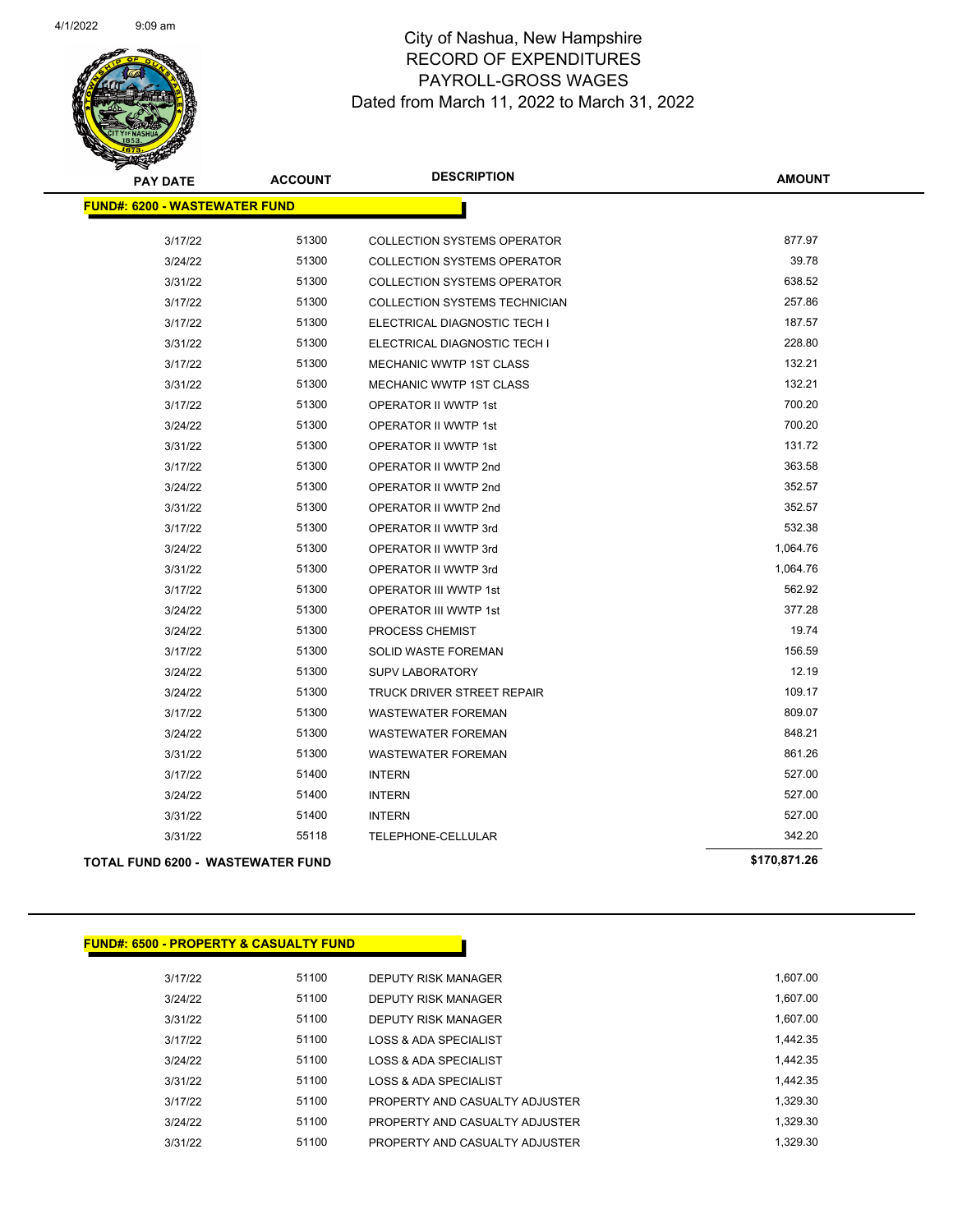

| <b>PAY DATE</b>                      | <b>ACCOUNT</b> | <b>DESCRIPTION</b>                   | <b>AMOUNT</b> |
|--------------------------------------|----------------|--------------------------------------|---------------|
| <b>FUND#: 6200 - WASTEWATER FUND</b> |                |                                      |               |
| 3/17/22                              | 51300          | <b>COLLECTION SYSTEMS OPERATOR</b>   | 877.97        |
| 3/24/22                              | 51300          | <b>COLLECTION SYSTEMS OPERATOR</b>   | 39.78         |
| 3/31/22                              | 51300          | <b>COLLECTION SYSTEMS OPERATOR</b>   | 638.52        |
| 3/17/22                              | 51300          | <b>COLLECTION SYSTEMS TECHNICIAN</b> | 257.86        |
| 3/17/22                              | 51300          | ELECTRICAL DIAGNOSTIC TECH I         | 187.57        |
| 3/31/22                              | 51300          | ELECTRICAL DIAGNOSTIC TECH I         | 228.80        |
| 3/17/22                              | 51300          | MECHANIC WWTP 1ST CLASS              | 132.21        |
| 3/31/22                              | 51300          | <b>MECHANIC WWTP 1ST CLASS</b>       | 132.21        |
| 3/17/22                              | 51300          | OPERATOR II WWTP 1st                 | 700.20        |
| 3/24/22                              | 51300          | <b>OPERATOR II WWTP 1st</b>          | 700.20        |
| 3/31/22                              | 51300          | <b>OPERATOR II WWTP 1st</b>          | 131.72        |
| 3/17/22                              | 51300          | OPERATOR II WWTP 2nd                 | 363.58        |
| 3/24/22                              | 51300          | OPERATOR II WWTP 2nd                 | 352.57        |
| 3/31/22                              | 51300          | OPERATOR II WWTP 2nd                 | 352.57        |
| 3/17/22                              | 51300          | OPERATOR II WWTP 3rd                 | 532.38        |
| 3/24/22                              | 51300          | OPERATOR II WWTP 3rd                 | 1,064.76      |
| 3/31/22                              | 51300          | OPERATOR II WWTP 3rd                 | 1,064.76      |
| 3/17/22                              | 51300          | OPERATOR III WWTP 1st                | 562.92        |
| 3/24/22                              | 51300          | OPERATOR III WWTP 1st                | 377.28        |
| 3/24/22                              | 51300          | PROCESS CHEMIST                      | 19.74         |
| 3/17/22                              | 51300          | SOLID WASTE FOREMAN                  | 156.59        |
| 3/24/22                              | 51300          | <b>SUPV LABORATORY</b>               | 12.19         |
| 3/24/22                              | 51300          | TRUCK DRIVER STREET REPAIR           | 109.17        |
| 3/17/22                              | 51300          | <b>WASTEWATER FOREMAN</b>            | 809.07        |
| 3/24/22                              | 51300          | <b>WASTEWATER FOREMAN</b>            | 848.21        |
| 3/31/22                              | 51300          | <b>WASTEWATER FOREMAN</b>            | 861.26        |
| 3/17/22                              | 51400          | <b>INTERN</b>                        | 527.00        |
| 3/24/22                              | 51400          | <b>INTERN</b>                        | 527.00        |
| 3/31/22                              | 51400          | <b>INTERN</b>                        | 527.00        |
| 3/31/22                              | 55118          | <b>TELEPHONE-CELLULAR</b>            | 342.20        |
| TOTAL FUND 6200 - WASTEWATER FUND    |                |                                      | \$170,871.26  |

|  |  |  | <u> FUND#: 6500 - PROPERTY &amp; CASUALTY FUND </u> |  |  |
|--|--|--|-----------------------------------------------------|--|--|
|  |  |  |                                                     |  |  |

| 3/17/22 | 51100 | DEPUTY RISK MANAGER            | 1.607.00 |
|---------|-------|--------------------------------|----------|
| 3/24/22 | 51100 | DEPUTY RISK MANAGER            | 1.607.00 |
| 3/31/22 | 51100 | DEPUTY RISK MANAGER            | 1,607.00 |
| 3/17/22 | 51100 | LOSS & ADA SPECIALIST          | 1.442.35 |
| 3/24/22 | 51100 | LOSS & ADA SPECIALIST          | 1.442.35 |
| 3/31/22 | 51100 | LOSS & ADA SPECIALIST          | 1.442.35 |
| 3/17/22 | 51100 | PROPERTY AND CASUALTY ADJUSTER | 1.329.30 |
| 3/24/22 | 51100 | PROPERTY AND CASUALTY ADJUSTER | 1.329.30 |
| 3/31/22 | 51100 | PROPERTY AND CASUALTY ADJUSTER | 1.329.30 |